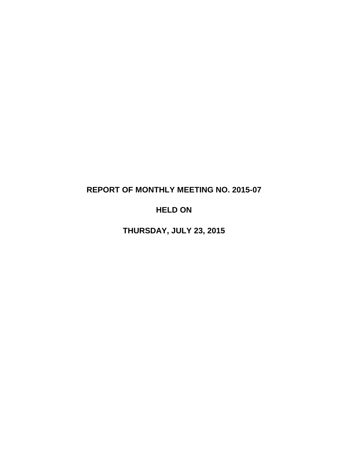# **REPORT OF MONTHLY MEETING NO. 2015-07**

# **HELD ON**

**THURSDAY, JULY 23, 2015**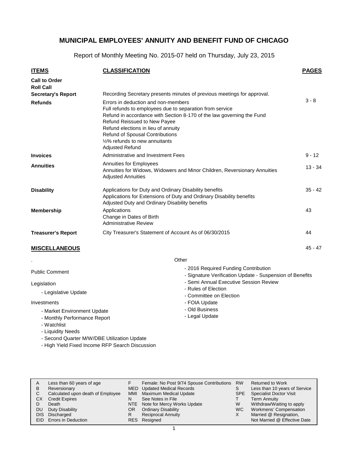Report of Monthly Meeting No. 2015-07 held on Thursday, July 23, 2015

| <b>ITEMS</b>                             | <b>CLASSIFICATION</b>                                                                                                                                                                                                                                                                                                                                        | <b>PAGES</b> |
|------------------------------------------|--------------------------------------------------------------------------------------------------------------------------------------------------------------------------------------------------------------------------------------------------------------------------------------------------------------------------------------------------------------|--------------|
| <b>Call to Order</b><br><b>Roll Call</b> |                                                                                                                                                                                                                                                                                                                                                              |              |
| <b>Secretary's Report</b>                | Recording Secretary presents minutes of previous meetings for approval.                                                                                                                                                                                                                                                                                      |              |
| <b>Refunds</b>                           | Errors in deduction and non-members<br>Full refunds to employees due to separation from service<br>Refund in accordance with Section 8-170 of the law governing the Fund<br><b>Refund Reissued to New Payee</b><br>Refund elections in lieu of annuity<br><b>Refund of Spousal Contributions</b><br>1/2% refunds to new annuitants<br><b>Adjusted Refund</b> | $3 - 8$      |
| <b>Invoices</b>                          | Administrative and Investment Fees                                                                                                                                                                                                                                                                                                                           | $9 - 12$     |
| <b>Annuities</b>                         | Annuities for Employees<br>Annuities for Widows, Widowers and Minor Children, Reversionary Annuities<br><b>Adjusted Annuities</b>                                                                                                                                                                                                                            | $13 - 34$    |
| <b>Disability</b>                        | Applications for Duty and Ordinary Disability benefits<br>Applications for Extensions of Duty and Ordinary Disability benefits<br>Adjusted Duty and Ordinary Disability benefits                                                                                                                                                                             | $35 - 42$    |
| <b>Membership</b>                        | Applications<br>Change in Dates of Birth<br><b>Administrative Review</b>                                                                                                                                                                                                                                                                                     | 43           |
| <b>Treasurer's Report</b>                | City Treasurer's Statement of Account As of 06/30/2015                                                                                                                                                                                                                                                                                                       | 44           |
| <b>MISCELLANEOUS</b>                     |                                                                                                                                                                                                                                                                                                                                                              | $45 - 47$    |

**Other** 

| Public Comment                                                             | - 2016 Required Funding Contribution<br>- Signature Verification Update - Suspension of Benefits |
|----------------------------------------------------------------------------|--------------------------------------------------------------------------------------------------|
| Legislation<br>- Legislative Update                                        | - Semi Annual Executive Session Review<br>- Rules of Election<br>- Committee on Election         |
| Investments                                                                | - FOIA Update                                                                                    |
| - Market Environment Update<br>- Monthly Performance Report<br>- Watchlist | - Old Business<br>- Legal Update                                                                 |

- Liquidity Needs

.

- Second Quarter M/W/DBE Utilization Update
- High Yield Fixed Income RFP Search Discussion

| A          | Less than 60 years of age         |            | Female: No Post 9/74 Spouse Contributions | <b>RW</b> | <b>Returned to Work</b>        |
|------------|-----------------------------------|------------|-------------------------------------------|-----------|--------------------------------|
| B          | Reversionary                      |            | MED Updated Medical Records               | S         | Less than 10 years of Service  |
| C          | Calculated upon death of Employee | <b>MMI</b> | <b>Maximum Medical Update</b>             | SPE       | <b>Specialist Doctor Visit</b> |
| СX         | <b>Credit Expires</b>             | N          | See Notes in File                         |           | Term Annuity                   |
|            | Death                             |            | NTE Note for Mercy Works Update           | W         | Withdraw/Waiting to apply      |
| DU         | Duty Disability                   | OR.        | <b>Ordinary Disability</b>                | WC.       | <b>Workmens' Compensation</b>  |
| <b>DIS</b> | Discharged                        | R          | <b>Reciprocal Annuity</b>                 | X         | Married @ Resignation,         |
|            | EID Errors in Deduction           |            | RES Resigned                              |           | Not Married @ Effective Date   |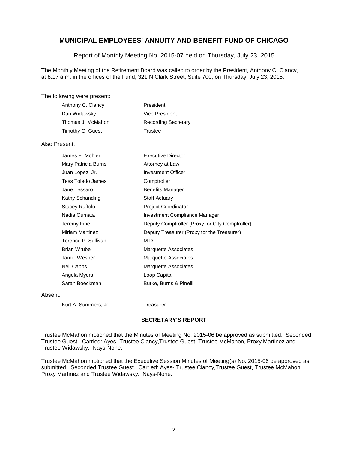Report of Monthly Meeting No. 2015-07 held on Thursday, July 23, 2015

The Monthly Meeting of the Retirement Board was called to order by the President, Anthony C. Clancy, at 8:17 a.m. in the offices of the Fund, 321 N Clark Street, Suite 700, on Thursday, July 23, 2015.

#### The following were present:

| Anthony C. Clancy | President                  |
|-------------------|----------------------------|
| Dan Widawsky      | Vice President             |
| Thomas J. McMahon | <b>Recording Secretary</b> |
| Timothy G. Guest  | Trustee                    |

#### Also Present:

| James E. Mohler        | <b>Executive Director</b>                       |
|------------------------|-------------------------------------------------|
| Mary Patricia Burns    | Attorney at Law                                 |
| Juan Lopez, Jr.        | Investment Officer                              |
| Tess Toledo James      | Comptroller                                     |
| Jane Tessaro           | <b>Benefits Manager</b>                         |
| Kathy Schanding        | <b>Staff Actuary</b>                            |
| Stacey Ruffolo         | <b>Project Coordinator</b>                      |
| Nadia Oumata           | Investment Compliance Manager                   |
| Jeremy Fine            | Deputy Comptroller (Proxy for City Comptroller) |
| <b>Miriam Martinez</b> | Deputy Treasurer (Proxy for the Treasurer)      |
| Terence P. Sullivan    | M.D.                                            |
| Brian Wrubel           | Marquette Associates                            |
| Jamie Wesner           | Marquette Associates                            |
| Neil Capps             | Marquette Associates                            |
| Angela Myers           | Loop Capital                                    |
| Sarah Boeckman         | Burke, Burns & Pinelli                          |
|                        |                                                 |

#### Absent:

Kurt A. Summers, Jr. Treasurer

#### **SECRETARY'S REPORT**

Trustee McMahon motioned that the Minutes of Meeting No. 2015-06 be approved as submitted. Seconded Trustee Guest. Carried: Ayes- Trustee Clancy,Trustee Guest, Trustee McMahon, Proxy Martinez and Trustee Widawsky. Nays-None.

Trustee McMahon motioned that the Executive Session Minutes of Meeting(s) No. 2015-06 be approved as submitted. Seconded Trustee Guest. Carried: Ayes- Trustee Clancy,Trustee Guest, Trustee McMahon, Proxy Martinez and Trustee Widawsky. Nays-None.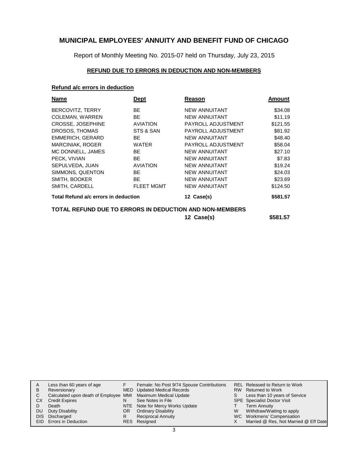Report of Monthly Meeting No. 2015-07 held on Thursday, July 23, 2015

### **REFUND DUE TO ERRORS IN DEDUCTION AND NON-MEMBERS**

### **Refund a/c errors in deduction**

| Name                                 | Dept              | Reason                                                  | Amount   |
|--------------------------------------|-------------------|---------------------------------------------------------|----------|
| BERCOVITZ, TERRY                     | <b>BE</b>         | <b>NEW ANNUITANT</b>                                    | \$34.08  |
| <b>COLEMAN, WARREN</b>               | <b>BE</b>         | <b>NEW ANNUITANT</b>                                    | \$11.19  |
| CROSSE, JOSEPHINE                    | <b>AVIATION</b>   | PAYROLL ADJUSTMENT                                      | \$121.55 |
| DROSOS, THOMAS                       | STS & SAN         | PAYROLL ADJUSTMENT                                      | \$81.92  |
| EMMERICH, GERARD                     | <b>BE</b>         | <b>NEW ANNUITANT</b>                                    | \$48.40  |
| <b>MARCINIAK, ROGER</b>              | <b>WATER</b>      | PAYROLL ADJUSTMENT                                      | \$58.04  |
| MC DONNELL, JAMES                    | <b>BE</b>         | <b>NEW ANNUITANT</b>                                    | \$27.10  |
| PECK, VIVIAN                         | <b>BE</b>         | <b>NEW ANNUITANT</b>                                    | \$7.83   |
| SEPULVEDA, JUAN                      | <b>AVIATION</b>   | <b>NEW ANNUITANT</b>                                    | \$19.24  |
| SIMMONS, QUENTON                     | <b>BE</b>         | <b>NEW ANNUITANT</b>                                    | \$24.03  |
| SMITH, BOOKER                        | <b>BE</b>         | <b>NEW ANNUITANT</b>                                    | \$23.69  |
| SMITH, CARDELL                       | <b>FLEET MGMT</b> | <b>NEW ANNUITANT</b>                                    | \$124.50 |
| Total Refund a/c errors in deduction |                   | 12 Case(s)                                              | \$581.57 |
|                                      |                   | TOTAL REFUND DUE TO ERRORS IN DEDUCTION AND NON-MEMBERS |          |
|                                      |                   | 12 Case(s)                                              | \$581.57 |

|      | Less than 60 years of age                                    |     | Female: No Post 9/74 Spouse Contributions |   | REL Released to Return to Work        |
|------|--------------------------------------------------------------|-----|-------------------------------------------|---|---------------------------------------|
| B    | Reversionary                                                 |     | MED Updated Medical Records               |   | RW Returned to Work                   |
|      | Calculated upon death of Employee MMI Maximum Medical Update |     |                                           | S | Less than 10 years of Service         |
| CХ   | <b>Credit Expires</b>                                        | N   | See Notes in File                         |   | <b>SPE</b> Specialist Doctor Visit    |
|      | Death                                                        |     | NTE Note for Mercy Works Update           |   | Term Annuity                          |
| DU   | Duty Disability                                              | OR. | <b>Ordinary Disability</b>                | W | Withdraw/Waiting to apply             |
| DIS. | Discharged                                                   | R   | <b>Reciprocal Annuity</b>                 |   | WC Workmens' Compensation             |
|      | <b>EID</b> Errors in Deduction                               |     | RES Resigned                              |   | Married @ Res, Not Married @ Eff Date |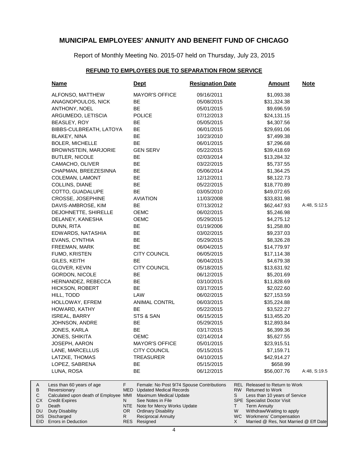Report of Monthly Meeting No. 2015-07 held on Thursday, July 23, 2015

#### **REFUND TO EMPLOYEES DUE TO SEPARATION FROM SERVICE**

| <b>Name</b>                                                    | <u>Dept</u>                                                                             | <b>Resignation Date</b> | <u>Amount</u>                                                            | <b>Note</b>  |
|----------------------------------------------------------------|-----------------------------------------------------------------------------------------|-------------------------|--------------------------------------------------------------------------|--------------|
| ALFONSO, MATTHEW                                               | <b>MAYOR'S OFFICE</b>                                                                   | 09/16/2011              | \$1,093.38                                                               |              |
| ANAGNOPOULOS, NICK                                             | BE                                                                                      | 05/08/2015              | \$31,324.38                                                              |              |
| ANTHONY, NOEL                                                  | <b>BE</b>                                                                               | 05/01/2015              | \$9,696.59                                                               |              |
| ARGUMEDO, LETISCIA                                             | <b>POLICE</b>                                                                           | 07/12/2013              | \$24,131.15                                                              |              |
| BEASLEY, ROY                                                   | BE                                                                                      | 05/05/2015              | \$4,307.56                                                               |              |
| BIBBS-CULBREATH, LATOYA                                        | BE                                                                                      | 06/01/2015              | \$29,691.06                                                              |              |
| <b>BLAKEY, NINA</b>                                            | BE                                                                                      | 10/23/2010              | \$7,499.38                                                               |              |
| <b>BOLER, MICHELLE</b>                                         | BE                                                                                      | 06/01/2015              | \$7,296.68                                                               |              |
| <b>BROWNSTEIN, MARJORIE</b>                                    | <b>GEN SERV</b>                                                                         | 05/22/2015              | \$39,418.69                                                              |              |
| <b>BUTLER, NICOLE</b>                                          | BE                                                                                      | 02/03/2014              | \$13,284.32                                                              |              |
| CAMACHO, OLIVER                                                | BE                                                                                      | 03/22/2015              | \$5,737.55                                                               |              |
| CHAPMAN, BREEZESINNA                                           | BE                                                                                      | 05/06/2014              | \$1,364.25                                                               |              |
| <b>COLEMAN, LAMONT</b>                                         | BE                                                                                      | 12/12/2011              | \$8,122.73                                                               |              |
| COLLINS, DIANE                                                 | <b>BE</b>                                                                               | 05/22/2015              | \$18,770.89                                                              |              |
| COTTO, GUADALUPE                                               | BE                                                                                      | 03/05/2010              | \$49,072.65                                                              |              |
| CROSSE, JOSEPHINE                                              | <b>AVIATION</b>                                                                         | 11/03/2008              | \$33,831.98                                                              |              |
| DAVIS-AMBROSE, KIM                                             | BE                                                                                      | 07/13/2012              | \$62,447.93                                                              | A:48, S:12.5 |
| DEJOHNETTE, SHIRELLE                                           | <b>OEMC</b>                                                                             | 06/02/2015              | \$5,246.98                                                               |              |
| DELANEY, KANESHA                                               | <b>OEMC</b>                                                                             | 05/29/2015              | \$4,275.12                                                               |              |
| DUNN, RITA                                                     | BE                                                                                      | 01/19/2006              | \$1,258.80                                                               |              |
| EDWARDS, NATASHIA                                              | BE                                                                                      | 03/02/2015              | \$9,237.03                                                               |              |
| EVANS, CYNTHIA                                                 | BE                                                                                      | 05/29/2015              | \$8,326.28                                                               |              |
| FREEMAN, MARK                                                  | <b>BE</b>                                                                               | 06/04/2015              | \$14,779.97                                                              |              |
| FUMO, KRISTEN                                                  | <b>CITY COUNCIL</b>                                                                     | 06/05/2015              | \$17,114.38                                                              |              |
| GILES, KEITH                                                   | <b>BE</b>                                                                               | 06/04/2015              | \$4,679.38                                                               |              |
| GLOVER, KEVIN                                                  | <b>CITY COUNCIL</b>                                                                     | 05/18/2015              | \$13,631.92                                                              |              |
| GORDON, NICOLE                                                 | BE                                                                                      | 06/12/2015              | \$5,201.69                                                               |              |
| HERNANDEZ, REBECCA                                             | BE                                                                                      | 03/10/2015              | \$11,828.69                                                              |              |
| HICKSON, ROBERT                                                | BE                                                                                      | 03/17/2015              | \$2,022.60                                                               |              |
| HILL, TODD                                                     | LAW                                                                                     | 06/02/2015              | \$27,153.59                                                              |              |
| HOLLOWAY, EFREM                                                | ANIMAL CONTRL                                                                           | 06/03/2015              | \$35,224.88                                                              |              |
| HOWARD, KATHY                                                  | BE                                                                                      | 05/22/2015              | \$3,522.27                                                               |              |
| ISREAL, BARRY                                                  | STS & SAN                                                                               | 06/15/2015              | \$13,455.20                                                              |              |
| JOHNSON, ANDRE                                                 | BE                                                                                      | 05/29/2015              | \$12,893.84                                                              |              |
| JONES, KARLA                                                   | <b>BE</b>                                                                               | 03/17/2015              | \$6,399.36                                                               |              |
| JONES, SHIKITA                                                 | OEMC                                                                                    | 02/14/2014              | \$5,627.55                                                               |              |
| JOSEPH, AARON                                                  | <b>MAYOR'S OFFICE</b>                                                                   | 05/01/2015              | \$23,915.51                                                              |              |
| LANE, MARCELLUS                                                | <b>CITY COUNCIL</b>                                                                     | 05/15/2015              | \$7,159.71                                                               |              |
| LATZKE, THOMAS                                                 | <b>TREASURER</b>                                                                        | 04/10/2015              | \$42,914.27                                                              |              |
| LOPEZ, SABRENA                                                 | BE                                                                                      | 05/15/2015              | \$658.99                                                                 |              |
| LUNA, ROSA                                                     | BE                                                                                      | 06/12/2015              | \$56,007.76                                                              | A:48, S:19.5 |
| Less than 60 years of age<br>Reversionary                      | F<br>Female: No Post 9/74 Spouse Contributions<br>MED<br><b>Updated Medical Records</b> |                         | <b>REL Released to Return to Work</b><br>RW Returned to Work             |              |
| Calculated upon death of Employee MMI<br><b>Credit Expires</b> | Maximum Medical Update<br>See Notes in File<br>N                                        |                         | S<br>Less than 10 years of Service<br><b>SPE</b> Specialist Doctor Visit |              |
| Death                                                          | NTE<br>Note for Mercy Works Update                                                      |                         | <b>Term Annuity</b><br>Τ                                                 |              |
| Duty Disability<br>Discharged                                  | <b>Ordinary Disability</b><br>OR.<br>R.<br><b>Reciprocal Annuity</b>                    |                         | Withdraw/Waiting to apply<br>W<br>WC Workmens' Compensation              |              |

Errors in Deduction DU<br>DIS DIS EID

A B C CX D

Resigned

RES

Married @ Res, Not Married @ Eff Date

X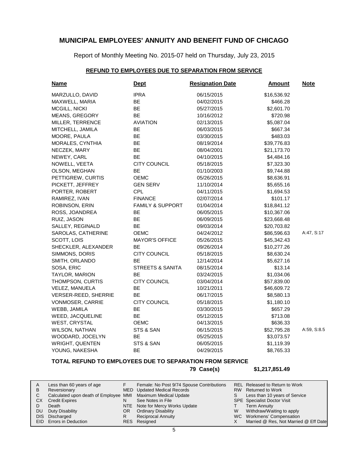Report of Monthly Meeting No. 2015-07 held on Thursday, July 23, 2015

### **REFUND TO EMPLOYEES DUE TO SEPARATION FROM SERVICE**

| <b>Name</b>             | <b>Dept</b>                 | <b>Resignation Date</b> | <b>Amount</b> | <b>Note</b> |
|-------------------------|-----------------------------|-------------------------|---------------|-------------|
| MARZULLO, DAVID         | <b>IPRA</b>                 | 06/15/2015              | \$16,536.92   |             |
| MAXWELL, MARIA          | <b>BE</b>                   | 04/02/2015              | \$466.28      |             |
| MCGILL, NICKI           | BE                          | 05/27/2015              | \$2,601.70    |             |
| MEANS, GREGORY          | <b>BE</b>                   | 10/16/2012              | \$720.98      |             |
| MILLER, TERRENCE        | <b>AVIATION</b>             | 02/13/2015              | \$5,087.04    |             |
| MITCHELL, JAMILA        | BE.                         | 06/03/2015              | \$667.34      |             |
| MOORE, PAULA            | ВE                          | 03/30/2015              | \$483.03      |             |
| MORALES, CYNTHIA        | BE                          | 08/19/2014              | \$39,776.83   |             |
| NECZEK, MARY            | BE                          | 08/04/2001              | \$21,173.70   |             |
| NEWEY, CARL             | <b>BE</b>                   | 04/10/2015              | \$4,484.16    |             |
| NOWELL, VEETA           | <b>CITY COUNCIL</b>         | 05/18/2015              | \$7,323.30    |             |
| OLSON, MEGHAN           | <b>BE</b>                   | 01/10/2003              | \$9,744.88    |             |
| PETTIGREW, CURTIS       | <b>OEMC</b>                 | 05/26/2015              | \$8,636.91    |             |
| PICKETT, JEFFREY        | <b>GEN SERV</b>             | 11/10/2014              | \$5,655.16    |             |
| PORTER, ROBERT          | <b>CPL</b>                  | 04/11/2015              | \$1,694.53    |             |
| RAMIREZ, IVAN           | <b>FINANCE</b>              | 02/07/2014              | \$101.17      |             |
| ROBINSON, ERIN          | FAMILY & SUPPORT            | 01/04/2014              | \$18,841.12   |             |
| ROSS, JOANDREA          | BE                          | 06/05/2015              | \$10,367.06   |             |
| RUIZ, JASON             | BE                          | 06/09/2015              | \$23,668.48   |             |
| SALLEY, REGINALD        | BE                          | 09/03/2014              | \$20,703.82   |             |
| SAROLAS, CATHERINE      | <b>OEMC</b>                 | 04/24/2012              | \$86,596.63   | A:47, S:17  |
| SCOTT, LOIS             | <b>MAYOR'S OFFICE</b>       | 05/26/2015              | \$45,342.43   |             |
| SHECKLER, ALEXANDER     | BE.                         | 09/26/2014              | \$10,277.26   |             |
| SIMMONS, DORIS          | CITY COUNCIL                | 05/18/2015              | \$8,630.24    |             |
| SMITH, ORLANDO          | BE.                         | 12/14/2014              | \$5,627.16    |             |
| SOSA, ERIC              | <b>STREETS &amp; SANITA</b> | 08/15/2014              | \$13.14       |             |
| TAYLOR, MARION          | BE                          | 03/24/2015              | \$1,034.06    |             |
| THOMPSON, CURTIS        | <b>CITY COUNCIL</b>         | 03/04/2014              | \$57,839.00   |             |
| VELEZ, MANUELA          | <b>BE</b>                   | 10/21/2011              | \$46,609.72   |             |
| VERSER-REED, SHERRIE    | BE.                         | 06/17/2015              | \$8,580.13    |             |
| <b>VONMOSER, CARRIE</b> | <b>CITY COUNCIL</b>         | 05/18/2015              | \$1,180.10    |             |
| WEBB, JAMILA            | ВE                          | 03/30/2015              | \$657.29      |             |
| WEED, JACQUELINE        | <b>BE</b>                   | 05/12/2015              | \$713.08      |             |
| <b>WEST, CRYSTAL</b>    | <b>OEMC</b>                 | 04/13/2015              | \$636.33      |             |
| WILSON, NATHAN          | STS & SAN                   | 06/15/2015              | \$52,795.28   | A:59, S:8.5 |
| WOODARD, JOCELYN        | <b>BE</b>                   | 05/25/2015              | \$3,073.57    |             |
| <b>WRIGHT, QUENTEN</b>  | STS & SAN                   | 06/05/2015              | \$1,119.39    |             |
| YOUNG, NAKESHA          | BE                          | 04/29/2015              | \$8,765.33    |             |

### **TOTAL REFUND TO EMPLOYEES DUE TO SEPARATION FROM SERVICE**

**79 Case(s) \$1,217,851.49**

|    | Less than 60 years of age                                    |     | Female: No Post 9/74 Spouse Contributions |   | REL Released to Return to Work        |
|----|--------------------------------------------------------------|-----|-------------------------------------------|---|---------------------------------------|
| В  | Reversionary                                                 |     | MED Updated Medical Records               |   | RW Returned to Work                   |
|    | Calculated upon death of Employee MMI Maximum Medical Update |     |                                           |   | Less than 10 years of Service         |
| CХ | <b>Credit Expires</b>                                        |     | See Notes in File                         |   | <b>SPE</b> Specialist Doctor Visit    |
|    | Death                                                        |     | NTE Note for Mercy Works Update           |   | Term Annuity                          |
|    | DU Duty Disability                                           | OR. | <b>Ordinary Disability</b>                | W | Withdraw/Waiting to apply             |
|    | DIS Discharged                                               |     | <b>Reciprocal Annuity</b>                 |   | WC Workmens' Compensation             |
|    | <b>EID</b> Errors in Deduction                               |     | RES Resigned                              |   | Married @ Res, Not Married @ Eff Date |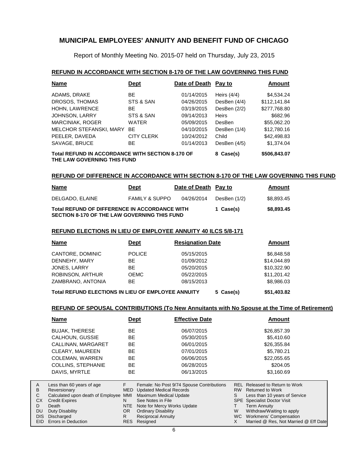Report of Monthly Meeting No. 2015-07 held on Thursday, July 23, 2015

#### **REFUND IN ACCORDANCE WITH SECTION 8-170 OF THE LAW GOVERNING THIS FUND**

| <b>Name</b>                                                                            | Dept              | Date of Death | Pay to        | <b>Amount</b> |
|----------------------------------------------------------------------------------------|-------------------|---------------|---------------|---------------|
| ADAMS, DRAKE                                                                           | <b>BE</b>         | 01/14/2015    | Heirs $(4/4)$ | \$4,534.24    |
| DROSOS, THOMAS                                                                         | STS & SAN         | 04/26/2015    | DesBen (4/4)  | \$112,141.84  |
| HOHN, LAWRENCE                                                                         | <b>BE</b>         | 03/19/2015    | DesBen (2/2)  | \$277,768.80  |
| JOHNSON, LARRY                                                                         | STS & SAN         | 09/14/2013    | <b>Heirs</b>  | \$682.96      |
| <b>MARCINIAK, ROGER</b>                                                                | <b>WATER</b>      | 05/09/2015    | DesBen        | \$55,062.20   |
| MELCHOR STEFANSKI, MARY                                                                | <b>BF</b>         | 04/10/2015    | DesBen (1/4)  | \$12,780.16   |
| PEELER, DAVEDA                                                                         | <b>CITY CLERK</b> | 10/24/2012    | Child         | \$42,498.83   |
| SAVAGE, BRUCE                                                                          | <b>BE</b>         | 01/14/2013    | DesBen (4/5)  | \$1,374.04    |
| <b>Total REFUND IN ACCORDANCE WITH SECTION 8-170 OF</b><br>THE LAW GOVERNING THIS FUND | 8 Case(s)         | \$506,843.07  |               |               |

### **REFUND OF DIFFERENCE IN ACCORDANCE WITH SECTION 8-170 OF THE LAW GOVERNING THIS FUND**

| <u>Name</u>                                                                                          | <b>Dept</b>               | Date of Death Pay to |              | <b>Amount</b> |
|------------------------------------------------------------------------------------------------------|---------------------------|----------------------|--------------|---------------|
| DELGADO. ELAINE                                                                                      | <b>FAMILY &amp; SUPPO</b> | 04/26/2014           | DesBen (1/2) | \$8.893.45    |
| Total REFUND OF DIFFERENCE IN ACCORDANCE WITH<br><b>SECTION 8-170 OF THE LAW GOVERNING THIS FUND</b> |                           |                      | 1 Case(s)    | \$8,893.45    |

#### **REFUND ELECTIONS IN LIEU OF EMPLOYEE ANNUITY 40 ILCS 5/8-171**

| <b>Name</b>                                        | <b>Dept</b>   | <b>Resignation Date</b> | Amount      |
|----------------------------------------------------|---------------|-------------------------|-------------|
| CANTORE, DOMINIC                                   | <b>POLICE</b> | 05/15/2015              | \$6,848.58  |
| DENNEHY, MARY                                      | BE.           | 01/09/2012              | \$14,044.89 |
| JONES, LARRY                                       | <b>BE</b>     | 05/20/2015              | \$10,322.90 |
| <b>ROBINSON, ARTHUR</b>                            | <b>OEMC</b>   | 05/22/2015              | \$11,201.42 |
| ZAMBRANO, ANTONIA                                  | <b>BE</b>     | 08/15/2013              | \$8,986.03  |
| Total REFUND ELECTIONS IN LIEU OF EMPLOYEE ANNUITY |               | 5 Case(s)               | \$51,403.82 |

#### **REFUND OF SPOUSAL CONTRIBUTIONS (To New Annuitants with No Spouse at the Time of Retirement)**

| <b>Name</b>                       | <u>Dept</u> | <b>Effective Date</b>                     |                                        | Amount     |
|-----------------------------------|-------------|-------------------------------------------|----------------------------------------|------------|
| <b>BUJAK, THERESE</b>             | ВE          | 06/07/2015                                | \$26,857.39                            |            |
| CALHOUN, GUSSIE                   | ВE          | 05/30/2015                                |                                        | \$5,410.60 |
| CALLINAN, MARGARET                | ВE          | 06/01/2015                                | \$26,355.84                            |            |
| CLEARY, MAUREEN                   | BЕ          | 07/01/2015                                |                                        | \$5,780.21 |
| <b>COLEMAN, WARREN</b>            | ВE          | 06/06/2015                                | \$22,055.65                            |            |
| <b>COLLINS, STEPHANIE</b>         | BЕ          | 06/28/2015                                |                                        | \$204.05   |
| DAVIS, MYRTLE                     | ВE          | 06/13/2015                                |                                        | \$3,160.69 |
|                                   |             |                                           |                                        |            |
| Less than 60 years of age         | F           | Female: No Post 9/74 Spouse Contributions | Released to Return to Work<br>REL      |            |
| Reversionary                      | <b>MED</b>  | <b>Updated Medical Records</b>            | RW.<br><b>Returned to Work</b>         |            |
| Calculated upon death of Employee | <b>MMI</b>  | Maximum Medical Update                    | S<br>Less than 10 years of Service     |            |
| <b>Credit Expires</b>             | N           | See Notes in File                         | <b>Specialist Doctor Visit</b><br>SPE. |            |
| Death                             | <b>NTE</b>  | Note for Mercy Works Update               | <b>Term Annuity</b>                    |            |
| Duty Disability                   | OR.         | <b>Ordinary Disability</b>                | W<br>Withdraw/Waiting to apply         |            |
| Discharged                        | R           | <b>Reciprocal Annuity</b>                 | Workmens' Compensation<br>WC.          |            |

Resigned

RES

Married @ Res, Not Married @ Eff Date

X

EID Errors in Deduction

A B C CX D DU DIS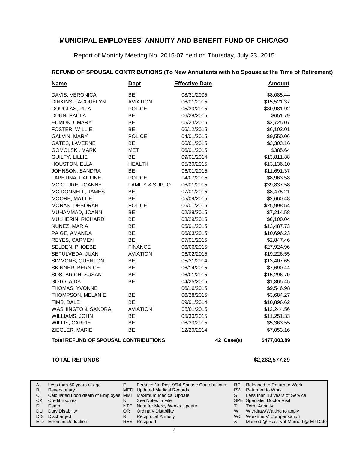Report of Monthly Meeting No. 2015-07 held on Thursday, July 23, 2015

### **REFUND OF SPOUSAL CONTRIBUTIONS (To New Annuitants with No Spouse at the Time of Retirement)**

| <b>Name</b>                                  | <b>Dept</b>               | <b>Effective Date</b> |            | <b>Amount</b> |
|----------------------------------------------|---------------------------|-----------------------|------------|---------------|
| DAVIS, VERONICA                              | BE                        | 08/31/2005            |            | \$8,085.44    |
| DINKINS, JACQUELYN                           | <b>AVIATION</b>           | 06/01/2015            |            | \$15,521.37   |
| DOUGLAS, RITA                                | <b>POLICE</b>             | 05/30/2015            |            | \$30,981.92   |
| DUNN, PAULA                                  | BE                        | 06/28/2015            |            | \$651.79      |
| EDMOND, MARY                                 | BE                        | 05/23/2015            |            | \$2,725.07    |
| FOSTER, WILLIE                               | BE                        | 06/12/2015            |            | \$6,102.01    |
| GALVIN, MARY                                 | <b>POLICE</b>             | 04/01/2015            |            | \$9,550.06    |
| GATES, LAVERNE                               | <b>BE</b>                 | 06/01/2015            |            | \$3,303.16    |
| <b>GOMOLSKI, MARK</b>                        | MET                       | 06/01/2015            |            | \$385.64      |
| <b>GUILTY, LILLIE</b>                        | <b>BE</b>                 | 09/01/2014            |            | \$13,811.88   |
| HOUSTON, ELLA                                | <b>HEALTH</b>             | 05/30/2015            |            | \$13,136.10   |
| JOHNSON, SANDRA                              | <b>BE</b>                 | 06/01/2015            |            | \$11,691.37   |
| LAPETINA, PAULINE                            | <b>POLICE</b>             | 04/07/2015            |            | \$8,963.58    |
| MC CLURE, JOANNE                             | <b>FAMILY &amp; SUPPO</b> | 06/01/2015            |            | \$39,837.58   |
| MC DONNELL, JAMES                            | BE                        | 07/01/2015            |            | \$8,475.21    |
| MOORE, MATTIE                                | BE                        | 05/09/2015            |            | \$2,660.48    |
| MORAN, DEBORAH                               | <b>POLICE</b>             | 06/01/2015            |            | \$25,998.54   |
| MUHAMMAD, JOANN                              | BE                        | 02/28/2015            |            | \$7,214.58    |
| MULHERIN, RICHARD                            | BE                        | 03/29/2015            |            | \$6,100.04    |
| NUNEZ, MARIA                                 | BE                        | 05/01/2015            |            | \$13,487.73   |
| PAIGE, AMANDA                                | <b>BE</b>                 | 06/03/2015            |            | \$10,696.23   |
| REYES, CARMEN                                | BE                        | 07/01/2015            |            | \$2,847.46    |
| SELDEN, PHOEBE                               | <b>FINANCE</b>            | 06/06/2015            |            | \$27,924.96   |
| SEPULVEDA, JUAN                              | <b>AVIATION</b>           | 06/02/2015            |            | \$19,226.55   |
| SIMMONS, QUENTON                             | BE                        | 05/31/2014            |            | \$13,407.65   |
| <b>SKINNER, BERNICE</b>                      | BE                        | 06/14/2015            |            | \$7,690.44    |
| SOSTARICH, SUSAN                             | BE                        | 06/01/2015            |            | \$15,296.70   |
| SOTO, AIDA                                   | BE                        | 04/25/2015            |            | \$1,365.45    |
| THOMAS, YVONNE                               |                           | 06/16/2015            |            | \$9,546.98    |
| THOMPSON, MELANIE                            | <b>BE</b>                 | 06/28/2015            |            | \$3,684.27    |
| TIMS, DALE                                   | BE                        | 09/01/2014            |            | \$10,896.62   |
| WASHINGTON, SANDRA                           | <b>AVIATION</b>           | 05/01/2015            |            | \$12,244.56   |
| WILLIAMS, JOHN                               | BE                        | 05/30/2015            |            | \$11,251.33   |
| WILLIS, CARRIE                               | BE                        | 06/30/2015            |            | \$5,363.55    |
| ZIEGLER, MARIE                               | <b>BE</b>                 | 12/20/2014            |            | \$7,053.16    |
| <b>Total REFUND OF SPOUSAL CONTRIBUTIONS</b> |                           |                       | 42 Case(s) | \$477,003.89  |

#### **TOTAL REFUNDS \$2,262,577.29**

| A   | Less than 60 years of age                                    |     | Female: No Post 9/74 Spouse Contributions |    | REL Released to Return to Work        |
|-----|--------------------------------------------------------------|-----|-------------------------------------------|----|---------------------------------------|
| B   | Reversionary                                                 |     | MED Updated Medical Records               |    | RW Returned to Work                   |
|     | Calculated upon death of Employee MMI Maximum Medical Update |     |                                           | S. | Less than 10 years of Service         |
| CX. | <b>Credit Expires</b>                                        |     | See Notes in File                         |    | <b>SPE</b> Specialist Doctor Visit    |
|     | Death                                                        |     | NTE Note for Mercy Works Update           |    | <b>Term Annuity</b>                   |
|     | DU Duty Disability                                           | OR. | <b>Ordinary Disability</b>                | W  | Withdraw/Waiting to apply             |
|     | DIS Discharged                                               |     | <b>Reciprocal Annuity</b>                 |    | WC Workmens' Compensation             |
|     | EID Errors in Deduction                                      |     | RES Resigned                              |    | Married @ Res, Not Married @ Eff Date |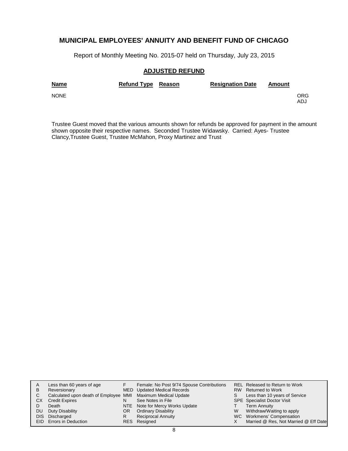Report of Monthly Meeting No. 2015-07 held on Thursday, July 23, 2015

#### **ADJUSTED REFUND**

| <b>Name</b> | Refund Type Reason | <b>Resignation Date</b> | Amount |            |
|-------------|--------------------|-------------------------|--------|------------|
| <b>NONE</b> |                    |                         |        | ORG<br>ADJ |

Trustee Guest moved that the various amounts shown for refunds be approved for payment in the amount shown opposite their respective names. Seconded Trustee Widawsky. Carried: Ayes- Trustee Clancy,Trustee Guest, Trustee McMahon, Proxy Martinez and Trust

| A  | Less than 60 years of age                                    |     | Female: No Post 9/74 Spouse Contributions |    | REL Released to Return to Work        |
|----|--------------------------------------------------------------|-----|-------------------------------------------|----|---------------------------------------|
| B  | Reversionary                                                 |     | MED Updated Medical Records               |    | RW Returned to Work                   |
| C. | Calculated upon death of Employee MMI Maximum Medical Update |     |                                           | S. | Less than 10 years of Service         |
| СX | <b>Credit Expires</b>                                        | N   | See Notes in File                         |    | <b>SPE</b> Specialist Doctor Visit    |
|    | Death                                                        |     | NTE Note for Mercy Works Update           |    | <b>Term Annuity</b>                   |
| DU | Duty Disability                                              | OR. | <b>Ordinary Disability</b>                | W  | Withdraw/Waiting to apply             |
|    | DIS Discharged                                               | R   | Reciprocal Annuity                        |    | WC Workmens' Compensation             |
|    | EID Errors in Deduction                                      |     | RES Resigned                              |    | Married @ Res, Not Married @ Eff Date |
|    |                                                              |     |                                           |    |                                       |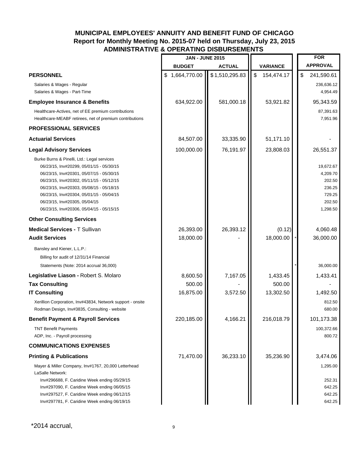|                                                                                                                                                                                                                                                                                                                                                      | <b>JAN - JUNE 2015</b> |                |                                         | <b>FOR</b>                                                                |
|------------------------------------------------------------------------------------------------------------------------------------------------------------------------------------------------------------------------------------------------------------------------------------------------------------------------------------------------------|------------------------|----------------|-----------------------------------------|---------------------------------------------------------------------------|
|                                                                                                                                                                                                                                                                                                                                                      | <b>BUDGET</b>          | <b>ACTUAL</b>  | <b>VARIANCE</b>                         | <b>APPROVAL</b>                                                           |
| <b>PERSONNEL</b>                                                                                                                                                                                                                                                                                                                                     | \$1,664,770.00         | \$1,510,295.83 | $\boldsymbol{\mathsf{S}}$<br>154,474.17 | \$<br>241,590.61                                                          |
| Salaries & Wages - Regular<br>Salaries & Wages - Part-Time                                                                                                                                                                                                                                                                                           |                        |                |                                         | 236,636.12<br>4,954.49                                                    |
| <b>Employee Insurance &amp; Benefits</b>                                                                                                                                                                                                                                                                                                             | 634,922.00             | 581,000.18     | 53,921.82                               | 95,343.59                                                                 |
| Healthcare-Actives, net of EE premium contributions<br>Healthcare-MEABF retirees, net of premium contributions                                                                                                                                                                                                                                       |                        |                |                                         | 87,391.63<br>7,951.96                                                     |
| <b>PROFESSIONAL SERVICES</b>                                                                                                                                                                                                                                                                                                                         |                        |                |                                         |                                                                           |
| <b>Actuarial Services</b>                                                                                                                                                                                                                                                                                                                            | 84,507.00              | 33,335.90      | 51,171.10                               |                                                                           |
| <b>Legal Advisory Services</b>                                                                                                                                                                                                                                                                                                                       | 100,000.00             | 76,191.97      | 23,808.03                               | 26,551.37                                                                 |
| Burke Burns & Pinelli, Ltd.: Legal services<br>06/23/15, Inv#20299, 05/01/15 - 05/30/15<br>06/23/15, Inv#20301, 05/07/15 - 05/30/15<br>06/23/15, Inv#20302, 05/11/15 - 05/12/15<br>06/23/15, Inv#20303, 05/08/15 - 05/18/15<br>06/23/15, Inv#20304, 05/01/15 - 05/04/15<br>06/23/15, Inv#20305, 05/04/15<br>06/23/15, Inv#20306, 05/04/15 - 05/15/15 |                        |                |                                         | 19,672.67<br>4,209.70<br>202.50<br>236.25<br>729.25<br>202.50<br>1,298.50 |
| <b>Other Consulting Services</b>                                                                                                                                                                                                                                                                                                                     |                        |                |                                         |                                                                           |
| <b>Medical Services - T Sullivan</b>                                                                                                                                                                                                                                                                                                                 | 26,393.00              | 26,393.12      | (0.12)                                  | 4,060.48                                                                  |
| <b>Audit Services</b>                                                                                                                                                                                                                                                                                                                                | 18,000.00              |                | 18,000.00                               | 36,000.00                                                                 |
| Bansley and Kiener, L.L.P.:                                                                                                                                                                                                                                                                                                                          |                        |                |                                         |                                                                           |
| Billing for audit of 12/31/14 Financial                                                                                                                                                                                                                                                                                                              |                        |                |                                         |                                                                           |
| Statements (Note: 2014 accrual 36,000)                                                                                                                                                                                                                                                                                                               |                        |                |                                         | 36,000.00                                                                 |
| Legislative Liason - Robert S. Molaro                                                                                                                                                                                                                                                                                                                | 8,600.50               | 7,167.05       | 1,433.45                                | 1,433.41                                                                  |
| <b>Tax Consulting</b><br><b>IT Consulting</b>                                                                                                                                                                                                                                                                                                        | 500.00<br>16,875.00    | 3,572.50       | 500.00<br>13,302.50                     | 1,492.50                                                                  |
| Xerillion Corporation, Inv#43834, Network support - onsite<br>Rodman Design, Inv#3835, Consulting - website                                                                                                                                                                                                                                          |                        |                |                                         | 812.50<br>680.00                                                          |
| <b>Benefit Payment &amp; Payroll Services</b>                                                                                                                                                                                                                                                                                                        | 220,185.00             | 4,166.21       | 216,018.79                              | 101,173.38                                                                |
| <b>TNT Benefit Payments</b><br>ADP, Inc. - Payroll processing                                                                                                                                                                                                                                                                                        |                        |                |                                         | 100,372.66<br>800.72                                                      |
| <b>COMMUNICATIONS EXPENSES</b>                                                                                                                                                                                                                                                                                                                       |                        |                |                                         |                                                                           |
| <b>Printing &amp; Publications</b>                                                                                                                                                                                                                                                                                                                   | 71,470.00              | 36,233.10      | 35,236.90                               | 3,474.06                                                                  |
| Mayer & Miller Company, Inv#1767, 20,000 Letterhead<br>LaSalle Network:<br>Inv#296688, F. Caridine Week ending 05/29/15<br>Inv#297090, F. Caridine Week ending 06/05/15<br>Inv#297527, F. Caridine Week ending 06/12/15<br>Inv#297781, F. Caridine Week ending 06/19/15                                                                              |                        |                |                                         | 1,295.00<br>252.31<br>642.25<br>642.25<br>642.25                          |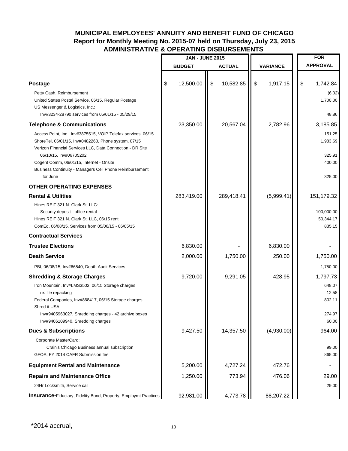|                                                                                                                                                                                                                                                                                                                     | <b>JAN - JUNE 2015</b> |                           |               |               |                 | <b>FOR</b>                                      |  |
|---------------------------------------------------------------------------------------------------------------------------------------------------------------------------------------------------------------------------------------------------------------------------------------------------------------------|------------------------|---------------------------|---------------|---------------|-----------------|-------------------------------------------------|--|
|                                                                                                                                                                                                                                                                                                                     | <b>BUDGET</b>          |                           | <b>ACTUAL</b> |               | <b>VARIANCE</b> | <b>APPROVAL</b>                                 |  |
|                                                                                                                                                                                                                                                                                                                     |                        |                           |               |               |                 |                                                 |  |
| <b>Postage</b>                                                                                                                                                                                                                                                                                                      | \$<br>12,500.00        | $\boldsymbol{\mathsf{S}}$ | 10,582.85     | $\frac{1}{2}$ | 1,917.15        | \$<br>1,742.84                                  |  |
| Petty Cash, Reimbursement<br>United States Postal Service, 06/15, Regular Postage<br>US Messenger & Logistics, Inc.:<br>Inv#3234-28790 services from 05/01/15 - 05/29/15                                                                                                                                            |                        |                           |               |               |                 | (6.02)<br>1,700.00<br>48.86                     |  |
| <b>Telephone &amp; Communications</b>                                                                                                                                                                                                                                                                               | 23,350.00              |                           | 20,567.04     |               | 2,782.96        | 3,185.85                                        |  |
| Access Point, Inc., Inv#3875515, VOIP Telefax services, 06/15<br>ShoreTel, 06/01/15, Inv#0482260, Phone system, 07/15<br>Verizon Financial Services LLC, Data Connection - DR Site<br>06/10/15, Inv#06705202<br>Cogent Comm, 06/01/15, Internet - Onsite<br>Business Continuity - Managers Cell Phone Reimbursement |                        |                           |               |               |                 | 151.25<br>1,983.69<br>325.91<br>400.00          |  |
| for June                                                                                                                                                                                                                                                                                                            |                        |                           |               |               |                 | 325.00                                          |  |
| <b>OTHER OPERATING EXPENSES</b><br><b>Rental &amp; Utilities</b>                                                                                                                                                                                                                                                    | 283,419.00             |                           | 289,418.41    |               | (5,999.41)      |                                                 |  |
| Hines REIT 321 N. Clark St. LLC:<br>Security deposit - office rental<br>Hines REIT 321 N. Clark St. LLC, 06/15 rent<br>ComEd, 06/08/15, Services from 05/06/15 - 06/05/15                                                                                                                                           |                        |                           |               |               |                 | 151,179.32<br>100,000.00<br>50,344.17<br>835.15 |  |
| <b>Contractual Services</b>                                                                                                                                                                                                                                                                                         |                        |                           |               |               |                 |                                                 |  |
| <b>Trustee Elections</b>                                                                                                                                                                                                                                                                                            | 6,830.00               |                           |               |               | 6,830.00        |                                                 |  |
| <b>Death Service</b>                                                                                                                                                                                                                                                                                                | 2,000.00               |                           | 1,750.00      |               | 250.00          | 1,750.00                                        |  |
| PBI, 06/08/15, Inv#66540, Death Audit Services                                                                                                                                                                                                                                                                      |                        |                           |               |               |                 | 1,750.00                                        |  |
| <b>Shredding &amp; Storage Charges</b>                                                                                                                                                                                                                                                                              | 9,720.00               |                           | 9,291.05      |               | 428.95          | 1,797.73                                        |  |
| Iron Mountain, Inv#LMS3502, 06/15 Storage charges<br>re: file repacking<br>Federal Companies, Inv#868417, 06/15 Storage charges<br>Shred-it USA:<br>Inv#9405963027, Shredding charges - 42 archive boxes<br>Inv#9406109940, Shredding charges                                                                       |                        |                           |               |               |                 | 648.07<br>12.58<br>802.11<br>274.97<br>60.00    |  |
| <b>Dues &amp; Subscriptions</b>                                                                                                                                                                                                                                                                                     | 9,427.50               |                           | 14,357.50     |               | (4,930.00)      | 964.00                                          |  |
| Corporate MasterCard:<br>Crain's Chicago Business annual subscription<br>GFOA, FY 2014 CAFR Submission fee                                                                                                                                                                                                          |                        |                           |               |               |                 | 99.00<br>865.00                                 |  |
| <b>Equipment Rental and Maintenance</b>                                                                                                                                                                                                                                                                             | 5,200.00               |                           | 4,727.24      |               | 472.76          |                                                 |  |
| <b>Repairs and Maintenance Office</b>                                                                                                                                                                                                                                                                               | 1,250.00               |                           | 773.94        |               | 476.06          | 29.00                                           |  |
| 24Hr Locksmith, Service call                                                                                                                                                                                                                                                                                        |                        |                           |               |               |                 | 29.00                                           |  |
| <b>Insurance-Fiduciary, Fidelity Bond, Property, Employmt Practices</b>                                                                                                                                                                                                                                             | 92,981.00              |                           | 4,773.78      |               | 88,207.22       | $\blacksquare$                                  |  |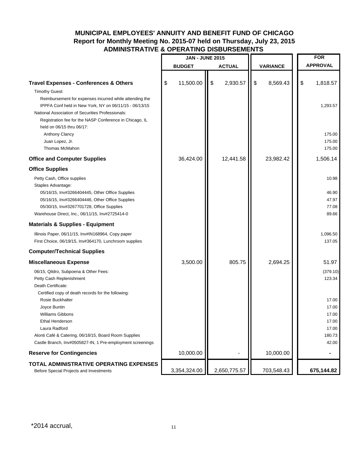|                                                                                                                                                                                                                                                                                                           | <b>JAN - JUNE 2015</b> |                |                 | <b>FOR</b>                |                                                              |
|-----------------------------------------------------------------------------------------------------------------------------------------------------------------------------------------------------------------------------------------------------------------------------------------------------------|------------------------|----------------|-----------------|---------------------------|--------------------------------------------------------------|
|                                                                                                                                                                                                                                                                                                           | <b>BUDGET</b>          | <b>ACTUAL</b>  | <b>VARIANCE</b> |                           | <b>APPROVAL</b>                                              |
| <b>Travel Expenses - Conferences &amp; Others</b><br><b>Timothy Guest:</b>                                                                                                                                                                                                                                | \$<br>11,500.00        | \$<br>2,930.57 | \$<br>8,569.43  | $\boldsymbol{\mathsf{S}}$ | 1,818.57                                                     |
| Reimbursement for expenses incurred while attending the<br>IPPFA Conf held in New York, NY on 06/11/15 - 06/13/15<br>National Association of Securities Professionals:<br>Registration fee for the NASP Conference in Chicago, IL<br>held on 06/15 thru 06/17:                                            |                        |                |                 |                           | 1,293.57                                                     |
| Anthony Clancy<br>Juan Lopez, Jr.<br>Thomas McMahon                                                                                                                                                                                                                                                       |                        |                |                 |                           | 175.00<br>175.00<br>175.00                                   |
| <b>Office and Computer Supplies</b>                                                                                                                                                                                                                                                                       | 36,424.00              | 12,441.58      | 23,982.42       |                           | 1,506.14                                                     |
| <b>Office Supplies</b>                                                                                                                                                                                                                                                                                    |                        |                |                 |                           |                                                              |
| Petty Cash, Office supplies<br>Staples Advantage:<br>05/16/15, Inv#3266404445, Other Office Supplies<br>05/16/15, Inv#3266404446, Other Office Supplies<br>05/30/15, Inv#3267701728, Office Supplies<br>Warehouse Direct, Inc., 06/11/15, Inv#2725414-0                                                   |                        |                |                 |                           | 10.98<br>46.90<br>47.97<br>77.08<br>89.66                    |
| <b>Materials &amp; Supplies - Equipment</b>                                                                                                                                                                                                                                                               |                        |                |                 |                           |                                                              |
| Illinois Paper, 06/11/15, Inv#IN168964, Copy paper<br>First Choice, 06/19/15, Inv#364170, Lunchroom supplies                                                                                                                                                                                              |                        |                |                 |                           | 1,096.50<br>137.05                                           |
| <b>Computer/Technical Supplies</b>                                                                                                                                                                                                                                                                        |                        |                |                 |                           |                                                              |
| <b>Miscellaneous Expense</b><br>06/15, Qildro, Subpoena & Other Fees:<br>Petty Cash Replenishment                                                                                                                                                                                                         | 3,500.00               | 805.75         | 2,694.25        |                           | 51.97<br>(379.10)<br>123.34                                  |
| Death Certificate:<br>Certified copy of death records for the following:<br>Rosie Buckhalter<br>Joyce Buntin<br><b>Williams Gibbons</b><br><b>Ethal Henderson</b><br>Laura Radford<br>Alonti Café & Catering, 06/18/15, Board Room Supplies<br>Castle Branch, Inv#0505827-IN, 1 Pre-employment screenings |                        |                |                 |                           | 17.00<br>17.00<br>17.00<br>17.00<br>17.00<br>180.73<br>42.00 |
| <b>Reserve for Contingencies</b>                                                                                                                                                                                                                                                                          | 10,000.00              |                | 10,000.00       |                           | ۰                                                            |
| TOTAL ADMINISTRATIVE OPERATING EXPENSES<br>Before Special Projects and Investments                                                                                                                                                                                                                        | 3,354,324.00           | 2,650,775.57   | 703,548.43      |                           | 675,144.82                                                   |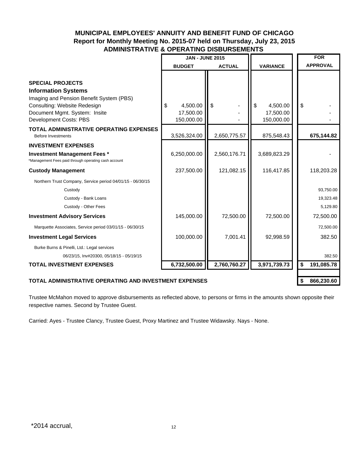|                                                                                                                                   | <b>JAN - JUNE 2015</b>  |               |                         | <b>FOR</b>       |
|-----------------------------------------------------------------------------------------------------------------------------------|-------------------------|---------------|-------------------------|------------------|
|                                                                                                                                   | <b>BUDGET</b>           | <b>ACTUAL</b> | <b>VARIANCE</b>         | <b>APPROVAL</b>  |
| <b>SPECIAL PROJECTS</b><br><b>Information Systems</b><br>Imaging and Pension Benefit System (PBS)<br>Consulting: Website Redesign | \$<br>4,500.00          | $\mathfrak s$ | \$<br>4,500.00          | $\mathfrak s$    |
| Document Mgmt. System: Insite<br>Development Costs: PBS                                                                           | 17,500.00<br>150,000.00 |               | 17,500.00<br>150,000.00 |                  |
| <b>TOTAL ADMINISTRATIVE OPERATING EXPENSES</b><br><b>Before Investments</b>                                                       | 3,526,324.00            | 2,650,775.57  | 875,548.43              | 675,144.82       |
| <b>INVESTMENT EXPENSES</b>                                                                                                        |                         |               |                         |                  |
| <b>Investment Management Fees *</b><br>*Management Fees paid through operating cash account                                       | 6,250,000.00            | 2,560,176.71  | 3,689,823.29            |                  |
| <b>Custody Management</b>                                                                                                         | 237,500.00              | 121,082.15    | 116,417.85              | 118,203.28       |
| Northern Trust Company, Service period 04/01/15 - 06/30/15                                                                        |                         |               |                         |                  |
| Custody                                                                                                                           |                         |               |                         | 93,750.00        |
| Custody - Bank Loans                                                                                                              |                         |               |                         | 19,323.48        |
| Custody - Other Fees                                                                                                              |                         |               |                         | 5,129.80         |
| <b>Investment Advisory Services</b>                                                                                               | 145,000.00              | 72,500.00     | 72,500.00               | 72,500.00        |
| Marquette Associates, Service period 03/01/15 - 06/30/15                                                                          |                         |               |                         | 72,500.00        |
| <b>Investment Legal Services</b>                                                                                                  | 100,000.00              | 7,001.41      | 92,998.59               | 382.50           |
| Burke Burns & Pinelli, Ltd.: Legal services<br>06/23/15, Inv#20300, 05/18/15 - 05/19/15                                           |                         |               |                         | 382.50           |
| <b>TOTAL INVESTMENT EXPENSES</b>                                                                                                  | 6,732,500.00            | 2,760,760.27  | 3,971,739.73            | \$<br>191,085.78 |
| TOTAL ADMINISTRATIVE OPERATING AND INVESTMENT EXPENSES                                                                            |                         |               |                         | 866,230.60       |

Trustee McMahon moved to approve disbursements as reflected above, to persons or firms in the amounts shown opposite their respective names. Second by Trustee Guest.

Carried: Ayes - Trustee Clancy, Trustee Guest, Proxy Martinez and Trustee Widawsky. Nays - None.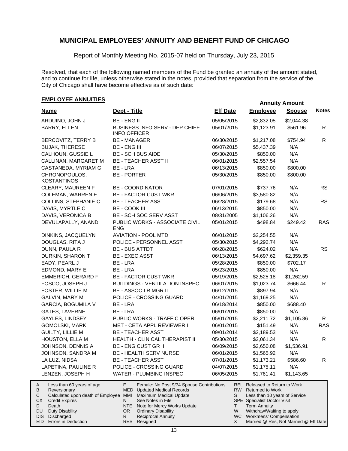Report of Monthly Meeting No. 2015-07 held on Thursday, July 23, 2015

Resolved, that each of the following named members of the Fund be granted an annuity of the amount stated, and to continue for life, unless otherwise stated in the notes, provided that separation from the service of the City of Chicago shall have become effective as of such date:

### **EMPLOYEE ANNUITIES**

|                                                                                                   |                                                                                                                 |                 |                                                                                        | Annuny Amount |              |
|---------------------------------------------------------------------------------------------------|-----------------------------------------------------------------------------------------------------------------|-----------------|----------------------------------------------------------------------------------------|---------------|--------------|
| <b>Name</b>                                                                                       | Dept - Title                                                                                                    | <b>Eff Date</b> | <b>Employee</b>                                                                        | <b>Spouse</b> | <b>Notes</b> |
| ARDUINO, JOHN J                                                                                   | <b>BE - ENG II</b>                                                                                              | 05/05/2015      | \$2,832.05                                                                             | \$2,044.38    |              |
| BARRY, ELLEN                                                                                      | BUSINESS INFO SERV - DEP CHIEF<br><b>INFO OFFICER</b>                                                           | 05/01/2015      | \$1,123.91                                                                             | \$561.96      | R            |
| BERCOVITZ, TERRY B                                                                                | <b>BE - MANAGER</b>                                                                                             | 06/30/2015      | \$1,217.08                                                                             | \$754.94      | $\mathsf{R}$ |
| <b>BUJAK, THERESE</b>                                                                             | <b>BE - ENG III</b>                                                                                             | 06/07/2015      | \$5,437.39                                                                             | N/A           |              |
| CALHOUN, GUSSIE L                                                                                 | <b>BE - SCH BUS AIDE</b>                                                                                        | 05/30/2015      | \$850.00                                                                               | N/A           |              |
| CALLINAN, MARGARET M                                                                              | <b>BE - TEACHER ASST II</b>                                                                                     | 06/01/2015      | \$2,557.54                                                                             | N/A           |              |
| CASTANEDA, MYRIAM G                                                                               | BE - LRA                                                                                                        | 06/13/2015      | \$850.00                                                                               | \$800.00      |              |
| CHRONOPOULOS,<br><b>KOSTANTINOS</b>                                                               | <b>BE - PORTER</b>                                                                                              | 05/30/2015      | \$850.00                                                                               | \$800.00      |              |
| CLEARY, MAUREEN F                                                                                 | <b>BE - COORDINATOR</b>                                                                                         | 07/01/2015      | \$737.76                                                                               | N/A           | <b>RS</b>    |
| <b>COLEMAN, WARREN E</b>                                                                          | <b>BE - FACTOR CUST WKR</b>                                                                                     | 06/06/2015      | \$3,580.82                                                                             | N/A           |              |
| COLLINS, STEPHANIE C                                                                              | <b>BE - TEACHER ASST</b>                                                                                        | 06/28/2015      | \$179.68                                                                               | N/A           | <b>RS</b>    |
| DAVIS, MYRTLE C                                                                                   | <b>BE - COOK III</b>                                                                                            | 06/13/2015      | \$850.00                                                                               | N/A           |              |
| DAVIS, VERONICA B                                                                                 | BE - SCH SOC SERV ASST                                                                                          | 08/31/2005      | \$1,106.26                                                                             | N/A           |              |
| DEVULAPALLY, ANAND                                                                                | PUBLIC WORKS - ASSOCIATE CIVIL<br><b>ENG</b>                                                                    | 05/01/2015      | \$498.84                                                                               | \$249.42      | <b>RAS</b>   |
| DINKINS, JACQUELYN                                                                                | <b>AVIATION - POOL MTD</b>                                                                                      | 06/01/2015      | \$2,254.55                                                                             | N/A           |              |
| DOUGLAS, RITA J                                                                                   | POLICE - PERSONNEL ASST                                                                                         | 05/30/2015      | \$4,292.74                                                                             | N/A           |              |
| DUNN, PAULA R                                                                                     | <b>BE - BUS ATTDT</b>                                                                                           | 06/28/2015      | \$624.02                                                                               | N/A           | <b>RS</b>    |
| DURKIN, SHARON T                                                                                  | <b>BE - EXEC ASST</b>                                                                                           | 06/13/2015      | \$4,697.62                                                                             | \$2,359.35    |              |
| EADY, PEARL J                                                                                     | BE - LRA                                                                                                        | 05/28/2015      | \$850.00                                                                               | \$702.17      |              |
| EDMOND, MARY E                                                                                    | BE - LRA                                                                                                        | 05/23/2015      | \$850.00                                                                               | N/A           |              |
| <b>EMMERICH, GERARD F</b>                                                                         | <b>BE - FACTOR CUST WKR</b>                                                                                     | 05/19/2015      | \$2,525.18                                                                             | \$1,262.59    |              |
| FOSCO, JOSEPH J                                                                                   | <b>BUILDINGS - VENTILATION INSPEC</b>                                                                           | 06/01/2015      | \$1,023.74                                                                             | \$666.44      | R            |
| FOSTER, WILLIE M                                                                                  | <b>BE - ASSOC LR MGR II</b>                                                                                     | 06/12/2015      | \$897.94                                                                               | N/A           |              |
| <b>GALVIN, MARY M</b>                                                                             | POLICE - CROSSING GUARD                                                                                         | 04/01/2015      | \$1,169.25                                                                             | N/A           |              |
| GARCIA, BOGUMILA V                                                                                | BE - LRA                                                                                                        | 06/18/2014      | \$850.00                                                                               | \$688.40      |              |
| GATES, LAVERNE                                                                                    | BE - LRA                                                                                                        | 06/01/2015      | \$850.00                                                                               | N/A           |              |
| GAYLES, LINDSEY                                                                                   | PUBLIC WORKS - TRAFFIC OPER                                                                                     | 05/01/2015      | \$2,211.72                                                                             | \$1,105.86    | R            |
| GOMOLSKI, MARK                                                                                    | MET - CETA APPL REVIEWER I                                                                                      | 06/01/2015      | \$151.49                                                                               | N/A           | <b>RAS</b>   |
| <b>GUILTY, LILLIE M</b>                                                                           | <b>BE - TEACHER ASST</b>                                                                                        | 09/01/2014      | \$2,189.53                                                                             | N/A           |              |
| HOUSTON, ELLA M                                                                                   | HEALTH - CLINICAL THERAPIST II                                                                                  | 05/30/2015      | \$2,061.34                                                                             | N/A           | $\mathsf{R}$ |
| JOHNSON, DENNIS A                                                                                 | <b>BE - ENG CUST GR II</b>                                                                                      | 06/09/2015      | \$2,650.08                                                                             | \$1,536.91    |              |
| JOHNSON, SANDRA M                                                                                 | BE - HEALTH SERV NURSE                                                                                          | 06/01/2015      | \$1,565.92                                                                             | N/A           |              |
| LA LUZ, NIDSA                                                                                     | <b>BE - TEACHER ASST</b>                                                                                        | 07/01/2015      | \$1,173.21                                                                             | \$586.60      | R            |
| LAPETINA, PAULINE R                                                                               | POLICE - CROSSING GUARD                                                                                         | 04/07/2015      | \$1,175.11                                                                             | N/A           |              |
| LENZEN, JOSEPH H                                                                                  | WATER - PLUMBING INSPEC                                                                                         | 06/05/2015      | \$1,761.41                                                                             | \$1,143.65    |              |
| Less than 60 years of age<br>A<br>В<br>Reversionary<br>C<br>Calculated upon death of Employee MMI | F.<br>Female: No Post 9/74 Spouse Contributions<br><b>MED</b> Updated Medical Records<br>Maximum Medical Update | S               | REL Released to Return to Work<br>RW Returned to Work<br>Less than 10 years of Service |               |              |
| CX<br><b>Credit Expires</b>                                                                       | See Notes in File<br>N                                                                                          |                 | <b>SPE</b> Specialist Doctor Visit                                                     |               |              |

- Note for Mercy Works Update OR Ordinary Disability NTE
	- Reciprocal Annuity

Resigned RES

R

Death

D DU Term Annuity

T W X

Withdraw/Waiting to apply WC Workmens' Compensation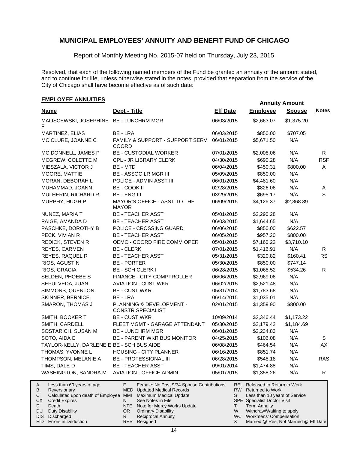Report of Monthly Meeting No. 2015-07 held on Thursday, July 23, 2015

Resolved, that each of the following named members of the Fund be granted an annuity of the amount stated, and to continue for life, unless otherwise stated in the notes, provided that separation from the service of the City of Chicago shall have become effective as of such date:

### **EMPLOYEE ANNUITIES**

Duty Disability DIS Discharged EID Errors in Deduction

DU

|                                                                                                                                                |                                                                                                                                                                                 |                 |                                                                                                                                                     | Allially Allivallt |              |
|------------------------------------------------------------------------------------------------------------------------------------------------|---------------------------------------------------------------------------------------------------------------------------------------------------------------------------------|-----------------|-----------------------------------------------------------------------------------------------------------------------------------------------------|--------------------|--------------|
| <b>Name</b>                                                                                                                                    | Dept - Title                                                                                                                                                                    | <b>Eff Date</b> | <b>Employee</b>                                                                                                                                     | <b>Spouse</b>      | <b>Notes</b> |
| MALISCEWSKI, JOSEPHINE BE - LUNCHRM MGR<br>F                                                                                                   |                                                                                                                                                                                 | 06/03/2015      | \$2,663.07                                                                                                                                          | \$1,375.20         |              |
| MARTINEZ, ELIAS                                                                                                                                | BE - LRA                                                                                                                                                                        | 06/03/2015      | \$850.00                                                                                                                                            | \$707.05           |              |
| MC CLURE, JOANNE C                                                                                                                             | FAMILY & SUPPORT - SUPPORT SERV<br>COORD                                                                                                                                        | 06/01/2015      | \$5,671.50                                                                                                                                          | N/A                |              |
| MC DONNELL, JAMES P                                                                                                                            | <b>BE - CUSTODIAL WORKER</b>                                                                                                                                                    | 07/01/2015      | \$2,008.06                                                                                                                                          | N/A                | R            |
| MCGREW, COLETTE M                                                                                                                              | CPL - JR LIBRARY CLERK                                                                                                                                                          | 04/30/2015      | \$690.28                                                                                                                                            | N/A                | <b>RSF</b>   |
| MIESZALA, VICTOR J                                                                                                                             | BE - MTD                                                                                                                                                                        | 06/04/2015      | \$450.31                                                                                                                                            | \$800.00           | A            |
| MOORE, MATTIE                                                                                                                                  | <b>BE - ASSOC LR MGR III</b>                                                                                                                                                    | 05/09/2015      | \$850.00                                                                                                                                            | N/A                |              |
| MORAN, DEBORAH L                                                                                                                               | POLICE - ADMIN ASST III                                                                                                                                                         | 06/01/2015      | \$4,481.60                                                                                                                                          | N/A                |              |
| MUHAMMAD, JOANN                                                                                                                                | BE - COOK II                                                                                                                                                                    | 02/28/2015      | \$826.06                                                                                                                                            | N/A                | Α            |
| MULHERIN, RICHARD R                                                                                                                            | <b>BE - ENG III</b>                                                                                                                                                             | 03/29/2015      | \$695.17                                                                                                                                            | N/A                | S            |
| MURPHY, HUGH P                                                                                                                                 | MAYOR'S OFFICE - ASST TO THE<br><b>MAYOR</b>                                                                                                                                    | 06/09/2015      | \$4,126.37                                                                                                                                          | \$2,868.39         |              |
| NUNEZ, MARIA T                                                                                                                                 | <b>BE - TEACHER ASST</b>                                                                                                                                                        | 05/01/2015      | \$2,290.28                                                                                                                                          | N/A                |              |
| PAIGE, AMANDA D                                                                                                                                | <b>BE - TEACHER ASST</b>                                                                                                                                                        | 06/03/2015      | \$1,644.65                                                                                                                                          | N/A                |              |
| PASCHKE, DOROTHY B                                                                                                                             | POLICE - CROSSING GUARD                                                                                                                                                         | 06/06/2015      | \$850.00                                                                                                                                            | \$622.57           |              |
| PECK, VIVIAN R                                                                                                                                 | <b>BE - TEACHER ASST</b>                                                                                                                                                        | 06/05/2015      | \$957.20                                                                                                                                            | \$800.00           |              |
| REDICK, STEVEN R                                                                                                                               | OEMC - COORD FIRE COMM OPER                                                                                                                                                     | 05/01/2015      | \$7,160.22                                                                                                                                          | \$3,710.10         |              |
| REYES, CARMEN                                                                                                                                  | <b>BE - CLERK</b>                                                                                                                                                               | 07/01/2015      | \$1,416.91                                                                                                                                          | N/A                | R.           |
| REYES, RAQUEL R                                                                                                                                | <b>BE - TEACHER ASST</b>                                                                                                                                                        | 05/31/2015      | \$320.82                                                                                                                                            | \$160.41           | <b>RS</b>    |
| RIOS, AGUSTIN                                                                                                                                  | <b>BE - PORTER</b>                                                                                                                                                              | 05/30/2015      | \$850.00                                                                                                                                            | \$747.14           |              |
| RIOS, GRACIA                                                                                                                                   | <b>BE - SCH CLERK I</b>                                                                                                                                                         | 06/28/2015      | \$1,068.52                                                                                                                                          | \$534.26           | R            |
| SELDEN, PHOEBE S                                                                                                                               | FINANCE - CITY COMPTROLLER                                                                                                                                                      | 06/06/2015      | \$2,969.06                                                                                                                                          | N/A                |              |
| SEPULVEDA, JUAN                                                                                                                                | <b>AVIATION - CUST WKR</b>                                                                                                                                                      | 06/02/2015      | \$2,521.48                                                                                                                                          | N/A                |              |
| SIMMONS, QUENTON                                                                                                                               | <b>BE - CUST WKR</b>                                                                                                                                                            | 05/31/2014      | \$1,783.68                                                                                                                                          | N/A                |              |
| SKINNER, BERNICE                                                                                                                               | BE - LRA                                                                                                                                                                        | 06/14/2015      | \$1,035.01                                                                                                                                          | N/A                |              |
| SMARON, THOMAS J                                                                                                                               | PLANNING & DEVELOPMENT -<br><b>CONSTR SPECIALIST</b>                                                                                                                            | 02/01/2015      | \$1,359.90                                                                                                                                          | \$800.00           |              |
| SMITH, BOOKER T                                                                                                                                | <b>BE - CUST WKR</b>                                                                                                                                                            | 10/09/2014      | \$2,346.44                                                                                                                                          | \$1,173.22         |              |
| SMITH, CARDELL                                                                                                                                 | FLEET MGMT - GARAGE ATTENDANT                                                                                                                                                   | 05/30/2015      | \$2,179.42                                                                                                                                          | \$1,184.69         |              |
| SOSTARICH, SUSAN M                                                                                                                             | <b>BE - LUNCHRM MGR</b>                                                                                                                                                         | 06/01/2015      | \$2,234.83                                                                                                                                          | N/A                |              |
| SOTO, AIDA E                                                                                                                                   | <b>BE - PARENT WKR BUS MONITOR</b>                                                                                                                                              | 04/25/2015      | \$106.08                                                                                                                                            | N/A                | S            |
| TAYLOR-KELLY, DARLENE E BE - SCH BUS AIDE                                                                                                      |                                                                                                                                                                                 | 06/08/2015      | \$464.54                                                                                                                                            | N/A                | AX           |
| THOMAS, YVONNE L                                                                                                                               | HOUSING - CITY PLANNER                                                                                                                                                          | 06/16/2015      | \$851.74                                                                                                                                            | N/A                |              |
| THOMPSON, MELANIE A                                                                                                                            | BE - PROFESSIONAL III                                                                                                                                                           | 06/28/2015      | \$548.18                                                                                                                                            | N/A                | <b>RAS</b>   |
| TIMS, DALE D                                                                                                                                   | <b>BE - TEACHER ASST</b>                                                                                                                                                        | 09/01/2014      | \$1,474.88                                                                                                                                          | N/A                |              |
| WASHINGTON, SANDRA M                                                                                                                           | <b>AVIATION - OFFICE ADMIN</b>                                                                                                                                                  | 05/01/2015      | \$1,358.26                                                                                                                                          | N/A                | R            |
| Less than 60 years of age<br>A<br>В<br>Reversionary<br>Calculated upon death of Employee MMI<br>С<br><b>Credit Expires</b><br>СX<br>D<br>Death | F.<br>Female: No Post 9/74 Spouse Contributions<br><b>Updated Medical Records</b><br>MED<br>Maximum Medical Update<br>See Notes in File<br>N<br>NTE Note for Mercy Works Update | S.<br>T.        | REL Released to Return to Work<br>RW Returned to Work<br>Less than 10 years of Service<br><b>SPE</b> Specialist Doctor Visit<br><b>Term Annuity</b> |                    |              |

Reciprocal Annuity Resigned RES

Ordinary Disability

OR R

Withdraw/Waiting to apply WC Workmens' Compensation

W X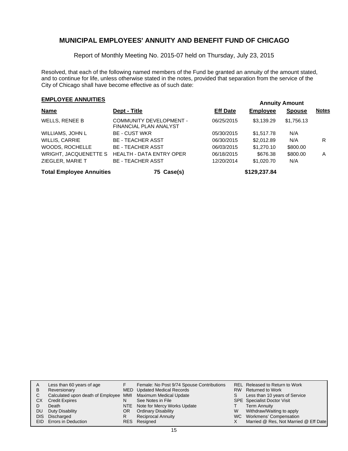Report of Monthly Meeting No. 2015-07 held on Thursday, July 23, 2015

Resolved, that each of the following named members of the Fund be granted an annuity of the amount stated, and to continue for life, unless otherwise stated in the notes, provided that separation from the service of the City of Chicago shall have become effective as of such date:

## **EMPLOYEE ANNUITIES**

| <b>Name</b>                     | Dept - Title                                             | <b>Eff Date</b> | <b>Employee</b> | <b>Spouse</b> | <b>Notes</b> |
|---------------------------------|----------------------------------------------------------|-----------------|-----------------|---------------|--------------|
| WELLS, RENEE B                  | <b>COMMUNITY DEVELOPMENT -</b><br>FINANCIAL PLAN ANALYST | 06/25/2015      | \$3.139.29      | \$1,756.13    |              |
| WILLIAMS, JOHN L                | <b>BE - CUST WKR</b>                                     | 05/30/2015      | \$1,517.78      | N/A           |              |
| WILLIS, CARRIE                  | <b>BE - TEACHER ASST</b>                                 | 06/30/2015      | \$2,012.89      | N/A           | R            |
| WOODS, ROCHELLE                 | <b>BE - TEACHER ASST</b>                                 | 06/03/2015      | \$1,270.10      | \$800.00      |              |
| WRIGHT, JACQUENETTE S           | <b>HEALTH - DATA ENTRY OPER</b>                          | 06/18/2015      | \$676.38        | \$800.00      | A            |
| ZIEGLER, MARIE T                | <b>BE - TEACHER ASST</b>                                 | 12/20/2014      | \$1,020.70      | N/A           |              |
| <b>Total Employee Annuities</b> | 75 Case(s)                                               |                 | \$129,237.84    |               |              |

| A   | Less than 60 years of age                                    |    | Female: No Post 9/74 Spouse Contributions |   | <b>REL Released to Return to Work</b> |
|-----|--------------------------------------------------------------|----|-------------------------------------------|---|---------------------------------------|
| B   | Reversionary                                                 |    | MED Updated Medical Records               |   | RW Returned to Work                   |
|     | Calculated upon death of Employee MMI Maximum Medical Update |    |                                           |   | Less than 10 years of Service         |
| CХ  | <b>Credit Expires</b>                                        | N  | See Notes in File                         |   | <b>SPE</b> Specialist Doctor Visit    |
|     | Death                                                        |    | NTE Note for Mercy Works Update           |   | <b>Term Annuity</b>                   |
| DU. | Duty Disability                                              | OR | <b>Ordinary Disability</b>                | W | Withdraw/Waiting to apply             |
|     | DIS Discharged                                               | R  | Reciprocal Annuity                        |   | WC Workmens' Compensation             |
|     | EID Errors in Deduction                                      |    | RES Resigned                              |   | Married @ Res, Not Married @ Eff Date |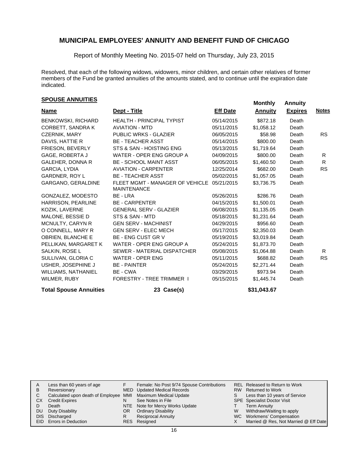Report of Monthly Meeting No. 2015-07 held on Thursday, July 23, 2015

Resolved, that each of the following widows, widowers, minor children, and certain other relatives of former members of the Fund be granted annuities of the amounts stated, and to continue until the expiration date indicated.

# **EXPOUSE ANNUITIES SPOUSE ANNUITIES**

| <b>Name</b>                   | Dept - Title                                          | <b>Eff Date</b> | <b>Annuity</b> | <b>Expires</b> | <b>Notes</b> |
|-------------------------------|-------------------------------------------------------|-----------------|----------------|----------------|--------------|
| <b>BENKOWSKI, RICHARD</b>     | <b>HEALTH - PRINCIPAL TYPIST</b>                      | 05/14/2015      | \$872.18       | Death          |              |
| CORBETT, SANDRA K             | <b>AVIATION - MTD</b>                                 | 05/11/2015      | \$1,058.12     | Death          |              |
| <b>CZERNIK, MARY</b>          | <b>PUBLIC WRKS - GLAZIER</b>                          | 06/05/2015      | \$58.98        | Death          | <b>RS</b>    |
| DAVIS, HATTIE R               | <b>BE - TEACHER ASST</b>                              | 05/14/2015      | \$800.00       | Death          |              |
| FRIESON, BEVERLY              | STS & SAN - HOISTING ENG                              | 05/13/2015      | \$1,719.64     | Death          |              |
| GAGE, ROBERTA J               | WATER - OPER ENG GROUP A                              | 04/09/2015      | \$800.00       | Death          | R.           |
| <b>GALEHER, DONNA R</b>       | <b>BE - SCHOOL MAINT ASST</b>                         | 06/05/2015      | \$1,460.50     | Death          | R.           |
| <b>GARCIA, LYDIA</b>          | <b>AVIATION - CARPENTER</b>                           | 12/25/2014      | \$682.00       | Death          | <b>RS</b>    |
| GARDNER, ROY L                | <b>BE - TEACHER ASST</b>                              | 05/02/2015      | \$1,057.05     | Death          |              |
| GARGANO, GERALDINE            | FLEET MGMT - MANAGER OF VEHICLE<br><b>MAINTENANCE</b> | 05/21/2015      | \$3.736.75     | Death          |              |
| GONZALEZ, MODESTO             | BE - LRA                                              | 05/26/2015      | \$286.76       | Death          |              |
| HARRISON, PEARLINE            | <b>BE - CARPENTER</b>                                 | 04/15/2015      | \$1,500.01     | Death          |              |
| KOZIK, LAVERNE                | <b>GENERAL SERV - GLAZIER</b>                         | 06/08/2015      | \$1,135.05     | Death          |              |
| MALONE, BESSIE D              | STS & SAN - MTD                                       | 05/18/2015      | \$1,231.64     | Death          |              |
| MCNULTY, CARYN R              | <b>GEN SERV - MACHINIST</b>                           | 04/29/2015      | \$956.60       | Death          |              |
| O CONNELL, MARY R             | <b>GEN SERV - ELEC MECH</b>                           | 05/17/2015      | \$2,350.03     | Death          |              |
| <b>OBRIEN, BLANCHE E</b>      | <b>BE - ENG CUST GR V</b>                             | 05/19/2015      | \$3,019.84     | Death          |              |
| PELLIKAN, MARGARET K          | WATER - OPER ENG GROUP A                              | 05/24/2015      | \$1,873.70     | Death          |              |
| SALKIN, ROSE L                | SEWER - MATERIAL DISPATCHER                           | 05/08/2015      | \$1,064.88     | Death          | R.           |
| SULLIVAN, GLORIA C            | <b>WATER - OPER ENG</b>                               | 05/11/2015      | \$688.82       | Death          | <b>RS</b>    |
| USHER, JOSEPHINE J            | <b>BE - PAINTER</b>                                   | 05/24/2015      | \$2,271.44     | Death          |              |
| <b>WILLIAMS, NATHANIEL</b>    | BE - CWA                                              | 03/29/2015      | \$973.94       | Death          |              |
| WILMER, RUBY                  | <b>FORESTRY - TREE TRIMMER 1</b>                      | 05/15/2015      | \$1,445.74     | Death          |              |
| <b>Total Spouse Annuities</b> | 23 Case(s)                                            |                 | \$31,043.67    |                |              |

|    | Less than 60 years of age                                    |    | Female: No Post 9/74 Spouse Contributions |   | REL Released to Return to Work        |
|----|--------------------------------------------------------------|----|-------------------------------------------|---|---------------------------------------|
| в  | Reversionary                                                 |    | MED Updated Medical Records               |   | RW Returned to Work                   |
| C  | Calculated upon death of Employee MMI Maximum Medical Update |    |                                           |   | Less than 10 years of Service         |
| CХ | <b>Credit Expires</b>                                        | N  | See Notes in File                         |   | <b>SPE</b> Specialist Doctor Visit    |
|    | Death                                                        |    | NTE Note for Mercy Works Update           |   | <b>Term Annuity</b>                   |
| DU | Duty Disability                                              | OR | <b>Ordinary Disability</b>                | W | Withdraw/Waiting to apply             |
|    | DIS Discharged                                               |    | <b>Reciprocal Annuity</b>                 |   | WC Workmens' Compensation             |
|    | EID Errors in Deduction                                      |    | RES Resigned                              |   | Married @ Res, Not Married @ Eff Date |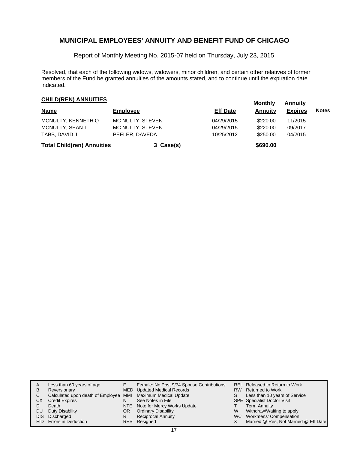Report of Monthly Meeting No. 2015-07 held on Thursday, July 23, 2015

Resolved, that each of the following widows, widowers, minor children, and certain other relatives of former members of the Fund be granted annuities of the amounts stated, and to continue until the expiration date indicated.

# **CHILD(REN) ANNUITIES Monthly** Annuity

| <b>Name</b>                       | <b>Employee</b>  | <b>Eff Date</b> | <b>Annuity</b> | <b>Expires</b> | <u>Notes</u> |
|-----------------------------------|------------------|-----------------|----------------|----------------|--------------|
| MCNULTY, KENNETH Q                | MC NULTY, STEVEN | 04/29/2015      | \$220.00       | 11/2015        |              |
| MCNULTY, SEAN T                   | MC NULTY, STEVEN | 04/29/2015      | \$220.00       | 09/2017        |              |
| TABB, DAVID J                     | PEELER, DAVEDA   | 10/25/2012      | \$250.00       | 04/2015        |              |
| <b>Total Child(ren) Annuities</b> | 3 Case(s)        |                 | \$690.00       |                |              |

| A    | Less than 60 years of age                                    |    | Female: No Post 9/74 Spouse Contributions |    | REL Released to Return to Work        |
|------|--------------------------------------------------------------|----|-------------------------------------------|----|---------------------------------------|
| В    | Reversionary                                                 |    | MED Updated Medical Records               |    | RW Returned to Work                   |
| C.   | Calculated upon death of Employee MMI Maximum Medical Update |    |                                           | S. | Less than 10 years of Service         |
| CХ   | <b>Credit Expires</b>                                        | N  | See Notes in File                         |    | <b>SPE</b> Specialist Doctor Visit    |
|      | Death                                                        |    | NTE Note for Mercy Works Update           |    | <b>Term Annuity</b>                   |
| DU   | Duty Disability                                              | OR | <b>Ordinary Disability</b>                | W  | Withdraw/Waiting to apply             |
| DIS. | Discharged                                                   | R  | <b>Reciprocal Annuity</b>                 |    | WC Workmens' Compensation             |
|      | EID Errors in Deduction                                      |    | RES Resigned                              |    | Married @ Res, Not Married @ Eff Date |
|      |                                                              |    |                                           |    |                                       |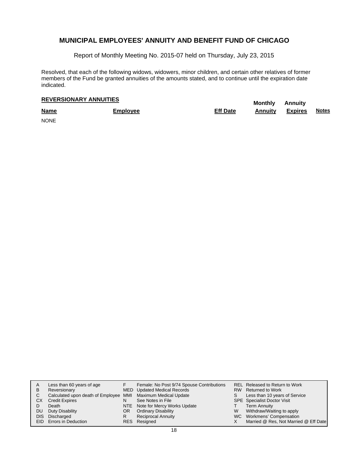Report of Monthly Meeting No. 2015-07 held on Thursday, July 23, 2015

Resolved, that each of the following widows, widowers, minor children, and certain other relatives of former members of the Fund be granted annuities of the amounts stated, and to continue until the expiration date indicated.

# **REVERSIONARY ANNUITIES** Monthly Annuity

| <b>Name</b> | <b>Employee</b> | <b>Eff Date</b> | <b>Annuity</b> | <b>Expires</b> | <b>Notes</b> |
|-------------|-----------------|-----------------|----------------|----------------|--------------|
| <b>NONE</b> |                 |                 |                |                |              |

| A<br>B<br>C. | <b>CX</b><br>DU. | Less than 60 years of age<br>Reversionary<br>Calculated upon death of Employee MMI Maximum Medical Update<br><b>Credit Expires</b><br>Death<br>Duty Disability<br>DIS Discharged | N<br>OR<br>R | Female: No Post 9/74 Spouse Contributions<br>MED Updated Medical Records<br>See Notes in File<br>NTE Note for Mercy Works Update<br><b>Ordinary Disability</b><br><b>Reciprocal Annuity</b> | W | <b>REL Released to Return to Work</b><br>RW Returned to Work<br>Less than 10 years of Service<br><b>SPE</b> Specialist Doctor Visit<br>Term Annuity<br>Withdraw/Waiting to apply<br>WC Workmens' Compensation |
|--------------|------------------|----------------------------------------------------------------------------------------------------------------------------------------------------------------------------------|--------------|---------------------------------------------------------------------------------------------------------------------------------------------------------------------------------------------|---|---------------------------------------------------------------------------------------------------------------------------------------------------------------------------------------------------------------|
|              |                  | EID Errors in Deduction                                                                                                                                                          |              | RES Resigned                                                                                                                                                                                |   | Married @ Res, Not Married @ Eff Date                                                                                                                                                                         |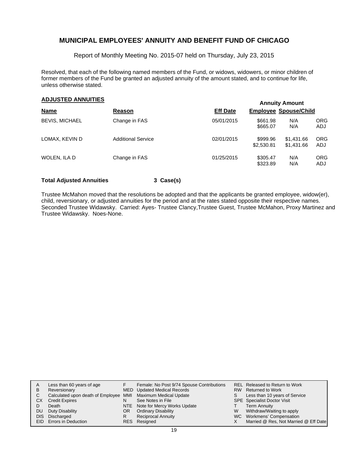Report of Monthly Meeting No. 2015-07 held on Thursday, July 23, 2015

Resolved, that each of the following named members of the Fund, or widows, widowers, or minor children of former members of the Fund be granted an adjusted annuity of the amount stated, and to continue for life, unless otherwise stated.

### **Annuity Amount ADJUSTED ANNUITIES**

|                       |                           |                 |                              | AUTOR AND MIL            |                          |
|-----------------------|---------------------------|-----------------|------------------------------|--------------------------|--------------------------|
| <b>Name</b>           | Reason                    | <b>Eff Date</b> | <b>Employee Spouse/Child</b> |                          |                          |
| <b>BEVIS, MICHAEL</b> | Change in FAS             | 05/01/2015      | \$661.98<br>\$665.07         | N/A<br>N/A               | <b>ORG</b><br><b>ADJ</b> |
| LOMAX, KEVIN D        | <b>Additional Service</b> | 02/01/2015      | \$999.96<br>\$2,530.81       | \$1,431.66<br>\$1.431.66 | <b>ORG</b><br>ADJ        |
| WOLEN. ILA D          | Change in FAS             | 01/25/2015      | \$305.47<br>\$323.89         | N/A<br>N/A               | <b>ORG</b><br><b>ADJ</b> |

#### **Total Adjusted Annuities 3 Case(s)**

Trustee McMahon moved that the resolutions be adopted and that the applicants be granted employee, widow(er), child, reversionary, or adjusted annuities for the period and at the rates stated opposite their respective names. Seconded Trustee Widawsky. Carried: Ayes- Trustee Clancy,Trustee Guest, Trustee McMahon, Proxy Martinez and Trustee Widawsky. Noes-None.

| Α  | Less than 60 years of age                                    |     | Female: No Post 9/74 Spouse Contributions |    | <b>REL Released to Return to Work</b> |
|----|--------------------------------------------------------------|-----|-------------------------------------------|----|---------------------------------------|
| В  | Reversionary                                                 |     | MED Updated Medical Records               |    | RW Returned to Work                   |
|    | Calculated upon death of Employee MMI Maximum Medical Update |     |                                           | S. | Less than 10 years of Service         |
| СX | <b>Credit Expires</b>                                        | N   | See Notes in File                         |    | <b>SPE</b> Specialist Doctor Visit    |
|    | Death                                                        |     | NTE Note for Mercy Works Update           |    | <b>Term Annuity</b>                   |
| DU | Duty Disability                                              | OR. | <b>Ordinary Disability</b>                | W  | Withdraw/Waiting to apply             |
|    | DIS Discharged                                               |     | <b>Reciprocal Annuity</b>                 |    | WC Workmens' Compensation             |
|    | EID Errors in Deduction                                      |     | RES Resigned                              |    | Married @ Res, Not Married @ Eff Date |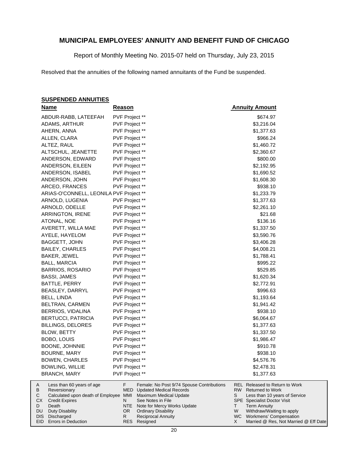Report of Monthly Meeting No. 2015-07 held on Thursday, July 23, 2015

Resolved that the annuities of the following named annuitants of the Fund be suspended.

#### **SUSPENDED ANNUITIES**

|        | <u>Name</u>                                       | <b>Reason</b>  |                                                          |     | <b>Annuity Amount</b>                                            |
|--------|---------------------------------------------------|----------------|----------------------------------------------------------|-----|------------------------------------------------------------------|
|        | ABDUR-RABB, LATEEFAH                              | PVF Project ** |                                                          |     | \$674.97                                                         |
|        | ADAMS, ARTHUR                                     | PVF Project ** |                                                          |     | \$3,216.04                                                       |
|        | AHERN, ANNA                                       | PVF Project ** |                                                          |     | \$1,377.63                                                       |
|        | ALLEN, CLARA                                      | PVF Project ** |                                                          |     | \$966.24                                                         |
|        | ALTEZ, RAUL                                       | PVF Project ** |                                                          |     | \$1,460.72                                                       |
|        | ALTSCHUL, JEANETTE                                | PVF Project ** |                                                          |     | \$2,360.67                                                       |
|        | ANDERSON, EDWARD                                  | PVF Project ** |                                                          |     | \$800.00                                                         |
|        | ANDERSON, EILEEN                                  | PVF Project ** |                                                          |     | \$2,192.95                                                       |
|        | ANDERSON, ISABEL                                  | PVF Project ** |                                                          |     | \$1,690.52                                                       |
|        | ANDERSON, JOHN                                    | PVF Project ** |                                                          |     | \$1,608.30                                                       |
|        | ARCEO, FRANCES                                    | PVF Project ** |                                                          |     | \$938.10                                                         |
|        | ARIAS-O'CONNELL, LEONILA PVF Project **           |                |                                                          |     | \$1,233.79                                                       |
|        | ARNOLD, LUGENIA                                   | PVF Project ** |                                                          |     | \$1,377.63                                                       |
|        | ARNOLD, ODELLE                                    | PVF Project ** |                                                          |     | \$2,261.10                                                       |
|        | <b>ARRINGTON, IRENE</b>                           | PVF Project ** |                                                          |     | \$21.68                                                          |
|        | ATONAL, NOE                                       | PVF Project ** |                                                          |     | \$136.16                                                         |
|        | AVERETT, WILLA MAE                                | PVF Project ** |                                                          |     | \$1,337.50                                                       |
|        | AYELE, HAYELOM                                    | PVF Project ** |                                                          |     | \$3,590.76                                                       |
|        | BAGGETT, JOHN                                     | PVF Project ** |                                                          |     | \$3,406.28                                                       |
|        | <b>BAILEY, CHARLES</b>                            | PVF Project ** |                                                          |     | \$4,008.21                                                       |
|        | BAKER, JEWEL                                      | PVF Project ** |                                                          |     | \$1,788.41                                                       |
|        | <b>BALL, MARCIA</b>                               | PVF Project ** |                                                          |     | \$995.22                                                         |
|        | <b>BARRIOS, ROSARIO</b>                           | PVF Project ** |                                                          |     | \$529.85                                                         |
|        | BASSI, JAMES                                      | PVF Project ** |                                                          |     | \$1,620.34                                                       |
|        | BATTLE, PERRY                                     | PVF Project ** |                                                          |     | \$2,772.91                                                       |
|        | BEASLEY, DARRYL                                   | PVF Project ** |                                                          |     | \$996.63                                                         |
|        | BELL, LINDA                                       | PVF Project ** |                                                          |     | \$1,193.64                                                       |
|        | BELTRAN, CARMEN                                   | PVF Project ** |                                                          |     | \$1,941.42                                                       |
|        | BERRIOS, VIDALINA                                 | PVF Project ** |                                                          |     | \$938.10                                                         |
|        | <b>BERTUCCI, PATRICIA</b>                         | PVF Project ** |                                                          |     | \$6,064.67                                                       |
|        | <b>BILLINGS, DELORES</b>                          | PVF Project ** |                                                          |     | \$1,377.63                                                       |
|        | BLOW, BETTY                                       | PVF Project ** |                                                          |     | \$1,337.50                                                       |
|        | BOBO, LOUIS                                       | PVF Project ** |                                                          |     | \$1,986.47                                                       |
|        | BOONE, JOHNNIE                                    | PVF Project ** |                                                          |     | \$910.78                                                         |
|        | BOURNE, MARY                                      | PVF Project ** |                                                          |     | \$938.10                                                         |
|        | <b>BOWEN, CHARLES</b>                             | PVF Project ** |                                                          |     | \$4,576.76                                                       |
|        | <b>BOWLING, WILLIE</b>                            | PVF Project ** |                                                          |     | \$2,478.31                                                       |
|        | <b>BRANCH, MARY</b>                               | PVF Project ** |                                                          |     | \$1,377.63                                                       |
| A      | Less than 60 years of age                         | F<br>MED       | Female: No Post 9/74 Spouse Contributions                | RW. | <b>REL Released to Return to Work</b><br><b>Returned to Work</b> |
| В<br>С | Reversionary<br>Calculated upon death of Employee | MMI            | <b>Updated Medical Records</b><br>Maximum Medical Update | S   | Less than 10 years of Service                                    |
| СX     | <b>Credit Expires</b>                             | N              | See Notes in File                                        |     | SPE Specialist Doctor Visit                                      |
| D      | Death                                             | <b>NTE</b>     | Note for Mercy Works Update                              | T   | <b>Term Annuity</b>                                              |
| DU     | <b>Duty Disability</b>                            | OR.            | <b>Ordinary Disability</b>                               | W   | Withdraw/Waiting to apply                                        |

ary Disability Reciprocal Annuity

Resigned RES

R

Workmens' Compensation

WC X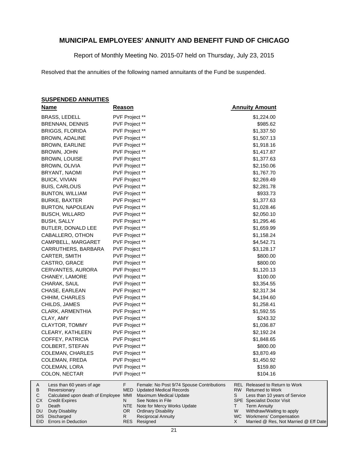Report of Monthly Meeting No. 2015-07 held on Thursday, July 23, 2015

Resolved that the annuities of the following named annuitants of the Fund be suspended.

#### **SUSPENDED ANNUITIES**

Duty Disability DIS Discharged EID Errors in Deduction

DU

|        | <b>Name</b>                                           | <b>Reason</b>  |                                                          |     | <b>Annuity Amount</b>                                            |
|--------|-------------------------------------------------------|----------------|----------------------------------------------------------|-----|------------------------------------------------------------------|
|        | BRASS, LEDELL                                         | PVF Project ** |                                                          |     | \$1,224.00                                                       |
|        | <b>BRENNAN, DENNIS</b>                                | PVF Project ** |                                                          |     | \$985.62                                                         |
|        | <b>BRIGGS, FLORIDA</b>                                | PVF Project ** |                                                          |     | \$1,337.50                                                       |
|        | BROWN, ADALINE                                        | PVF Project ** |                                                          |     | \$1,507.13                                                       |
|        | BROWN, EARLINE                                        | PVF Project ** |                                                          |     | \$1,918.16                                                       |
|        | BROWN, JOHN                                           | PVF Project ** |                                                          |     | \$1,417.87                                                       |
|        | BROWN, LOUISE                                         | PVF Project ** |                                                          |     | \$1,377.63                                                       |
|        | BROWN, OLIVIA                                         | PVF Project ** |                                                          |     | \$2,150.06                                                       |
|        | BRYANT, NAOMI                                         | PVF Project ** |                                                          |     | \$1,767.70                                                       |
|        | <b>BUICK, VIVIAN</b>                                  | PVF Project ** |                                                          |     | \$2,269.49                                                       |
|        | <b>BUIS, CARLOUS</b>                                  | PVF Project ** |                                                          |     | \$2,281.78                                                       |
|        | <b>BUNTON, WILLIAM</b>                                | PVF Project ** |                                                          |     | \$933.73                                                         |
|        | <b>BURKE, BAXTER</b>                                  | PVF Project ** |                                                          |     | \$1,377.63                                                       |
|        | <b>BURTON, NAPOLEAN</b>                               | PVF Project ** |                                                          |     | \$1,028.46                                                       |
|        | <b>BUSCH, WILLARD</b>                                 | PVF Project ** |                                                          |     | \$2,050.10                                                       |
|        | BUSH, SALLY                                           | PVF Project ** |                                                          |     | \$1,295.46                                                       |
|        | BUTLER, DONALD LEE                                    | PVF Project ** |                                                          |     | \$1,659.99                                                       |
|        | CABALLERO, OTHON                                      | PVF Project ** |                                                          |     | \$1,158.24                                                       |
|        | CAMPBELL, MARGARET                                    | PVF Project ** |                                                          |     | \$4,542.71                                                       |
|        | CARRUTHERS, BARBARA                                   | PVF Project ** |                                                          |     | \$3,128.17                                                       |
|        | CARTER, SMITH                                         | PVF Project ** |                                                          |     | \$800.00                                                         |
|        | CASTRO, GRACE                                         | PVF Project ** |                                                          |     | \$800.00                                                         |
|        | CERVANTES, AURORA                                     | PVF Project ** |                                                          |     | \$1,120.13                                                       |
|        | CHANEY, LAMORE                                        | PVF Project ** |                                                          |     | \$100.00                                                         |
|        | CHARAK, SAUL                                          | PVF Project ** |                                                          |     | \$3,354.55                                                       |
|        | CHASE, EARLEAN                                        | PVF Project ** |                                                          |     | \$2,317.34                                                       |
|        | CHHIM, CHARLES                                        | PVF Project ** |                                                          |     | \$4,194.60                                                       |
|        | CHILDS, JAMES                                         | PVF Project ** |                                                          |     | \$1,258.41                                                       |
|        | CLARK, ARMENTHIA                                      | PVF Project ** |                                                          |     | \$1,592.55                                                       |
|        | CLAY, AMY                                             | PVF Project ** |                                                          |     | \$243.32                                                         |
|        | <b>CLAYTOR, TOMMY</b>                                 | PVF Project ** |                                                          |     | \$1,036.87                                                       |
|        | CLEARY, KATHLEEN                                      | PVF Project ** |                                                          |     | \$2,192.24                                                       |
|        | COFFEY, PATRICIA                                      | PVF Project ** |                                                          |     | \$1,848.65                                                       |
|        | COLBERT, STEFAN                                       | PVF Project ** |                                                          |     | \$800.00                                                         |
|        | COLEMAN, CHARLES                                      | PVF Project ** |                                                          |     | \$3,870.49                                                       |
|        | COLEMAN, FREDA                                        | PVF Project ** |                                                          |     | \$1,450.92                                                       |
|        | COLEMAN, LORA                                         | PVF Project ** |                                                          |     | \$159.80                                                         |
|        | COLON, NECTAR                                         | PVF Project ** |                                                          |     | \$104.16                                                         |
| A      | Less than 60 years of age                             | F.<br>MED      | Female: No Post 9/74 Spouse Contributions                | RW. | <b>REL</b> Released to Return to Work<br><b>Returned to Work</b> |
| В<br>С | Reversionary<br>Calculated upon death of Employee MMI |                | <b>Updated Medical Records</b><br>Maximum Medical Update | S   | Less than 10 years of Service                                    |
| СX     | <b>Credit Expires</b>                                 | N              | See Notes in File                                        |     | SPE Specialist Doctor Visit                                      |
| D      | Death                                                 | NTE            | Note for Mercy Works Update                              | T.  | <b>Term Annuity</b>                                              |

NTE Note for Mercy Works Update OR Ordinary Disability R

Reciprocal Annuity Resigned RES

21

Withdraw/Waiting to apply Workmens' Compensation

W WC X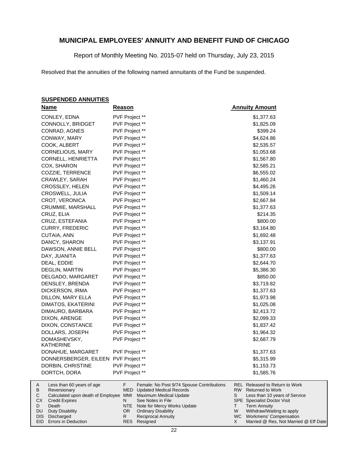Report of Monthly Meeting No. 2015-07 held on Thursday, July 23, 2015

Resolved that the annuities of the following named annuitants of the Fund be suspended.

#### **SUSPENDED ANNUITIES**

| <b>Name</b>                                                 | <b>Reason</b>  |                                                          | <b>Annuity Amount</b>                                                      |
|-------------------------------------------------------------|----------------|----------------------------------------------------------|----------------------------------------------------------------------------|
| CONLEY, EDNA                                                | PVF Project ** |                                                          | \$1,377.63                                                                 |
| CONNOLLY, BRIDGET                                           | PVF Project ** |                                                          | \$1,825.09                                                                 |
| CONRAD, AGNES                                               | PVF Project ** |                                                          | \$399.24                                                                   |
| CONWAY, MARY                                                | PVF Project ** |                                                          | \$4,624.86                                                                 |
| COOK, ALBERT                                                | PVF Project ** |                                                          | \$2,535.57                                                                 |
| <b>CORNELIOUS, MARY</b>                                     | PVF Project ** |                                                          | \$1,053.68                                                                 |
| CORNELL, HENRIETTA                                          | PVF Project ** |                                                          | \$1,567.80                                                                 |
| COX, SHARON                                                 | PVF Project ** |                                                          | \$2,585.21                                                                 |
| COZZIE, TERRENCE                                            | PVF Project ** |                                                          | \$6,555.02                                                                 |
| CRAWLEY, SARAH                                              | PVF Project ** |                                                          | \$1,460.24                                                                 |
| CROSSLEY, HELEN                                             | PVF Project ** |                                                          | \$4,495.26                                                                 |
| CROSWELL, JULIA                                             | PVF Project ** |                                                          | \$1,509.14                                                                 |
| CROT, VERONICA                                              | PVF Project ** |                                                          | \$2,667.84                                                                 |
| CRUMMIE, MARSHALL                                           | PVF Project ** |                                                          | \$1,377.63                                                                 |
| CRUZ, ELIA                                                  | PVF Project ** |                                                          | \$214.35                                                                   |
| CRUZ, ESTEFANIA                                             | PVF Project ** |                                                          | \$800.00                                                                   |
| <b>CURRY, FREDERIC</b>                                      | PVF Project ** |                                                          | \$3,164.80                                                                 |
| CUTAIA, ANN                                                 | PVF Project ** |                                                          | \$1,692.48                                                                 |
| DANCY, SHARON                                               | PVF Project ** |                                                          | \$3,137.91                                                                 |
| DAWSON, ANNIE BELL                                          | PVF Project ** |                                                          | \$800.00                                                                   |
| DAY, JUANITA                                                | PVF Project ** |                                                          | \$1,377.63                                                                 |
| DEAL, EDDIE                                                 | PVF Project ** |                                                          | \$2,644.70                                                                 |
| DEGLIN, MARTIN                                              | PVF Project ** |                                                          | \$5,386.30                                                                 |
| DELGADO, MARGARET                                           | PVF Project ** |                                                          | \$850.00                                                                   |
| DENSLEY, BRENDA                                             | PVF Project ** |                                                          | \$3,719.82                                                                 |
| DICKERSON, IRMA                                             | PVF Project ** |                                                          | \$1,377.63                                                                 |
| DILLON, MARY ELLA                                           | PVF Project ** |                                                          | \$1,973.98                                                                 |
| DIMATOS, EKATERINI                                          | PVF Project ** |                                                          | \$1,025.08                                                                 |
| DIMAURO, BARBARA                                            | PVF Project ** |                                                          | \$2,413.72                                                                 |
| DIXON, ARENGE                                               | PVF Project ** |                                                          | \$2,099.33                                                                 |
| DIXON, CONSTANCE                                            | PVF Project ** |                                                          | \$1,837.42                                                                 |
| DOLLARS, JOSEPH                                             | PVF Project ** |                                                          | \$1,964.32                                                                 |
| DOMASHEVSKY,                                                | PVF Project ** |                                                          | \$2,687.79                                                                 |
| KATHERINE                                                   |                |                                                          |                                                                            |
| DONAHUE, MARGARET                                           | PVF Project ** |                                                          | \$1,377.63                                                                 |
| DONNERSBERGER, EILEEN PVF Project **                        |                |                                                          | \$5,315.99                                                                 |
| DORBIN, CHRISTINE                                           | PVF Project ** |                                                          | \$1,153.73                                                                 |
| DORTCH, DORA                                                | PVF Project ** |                                                          | \$1,585.76                                                                 |
| Less than 60 years of age<br>A                              | F.             | Female: No Post 9/74 Spouse Contributions                | <b>REL Released to Return to Work</b>                                      |
| В<br>Reversionary<br>Calculated upon death of Employee<br>С | MED<br>MMI     | <b>Updated Medical Records</b><br>Maximum Medical Update | <b>RW</b><br><b>Returned to Work</b><br>Less than 10 years of Service<br>S |
| CX<br><b>Credit Expires</b>                                 | N              | See Notes in File                                        | <b>SPE</b> Specialist Doctor Visit                                         |

- Death Duty Disability DIS Discharged OR Ordinary Disability NTE R
- EID Errors in Deduction

D DU

Note for Mercy Works Update

Reciprocal Annuity

Resigned RES

Term Annuity

T W X

Withdraw/Waiting to apply WC Workmens' Compensation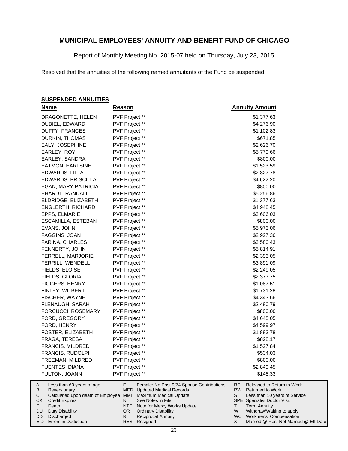Report of Monthly Meeting No. 2015-07 held on Thursday, July 23, 2015

Resolved that the annuities of the following named annuitants of the Fund be suspended.

#### **SUSPENDED ANNUITIES**

| <b>Name</b>                                         | <b>Reason</b>                                                                            | <b>Annuity Amount</b>                                                   |
|-----------------------------------------------------|------------------------------------------------------------------------------------------|-------------------------------------------------------------------------|
| DRAGONETTE, HELEN                                   | PVF Project **                                                                           | \$1,377.63                                                              |
| DUBIEL, EDWARD                                      | PVF Project **                                                                           | \$4,276.90                                                              |
| DUFFY, FRANCES                                      | PVF Project **                                                                           | \$1,102.83                                                              |
| DURKIN, THOMAS                                      | PVF Project **                                                                           | \$671.85                                                                |
| EALY, JOSEPHINE                                     | PVF Project **                                                                           | \$2,626.70                                                              |
| EARLEY, ROY                                         | PVF Project **                                                                           | \$5,779.66                                                              |
| EARLEY, SANDRA                                      | PVF Project **                                                                           | \$800.00                                                                |
| EATMON, EARLSINE                                    | PVF Project **                                                                           | \$1,523.59                                                              |
| EDWARDS, LILLA                                      | PVF Project **                                                                           | \$2,827.78                                                              |
| EDWARDS, PRISCILLA                                  | PVF Project **                                                                           | \$4,622.20                                                              |
| EGAN, MARY PATRICIA                                 | PVF Project **                                                                           | \$800.00                                                                |
| EHARDT, RANDALL                                     | PVF Project **                                                                           | \$5,256.86                                                              |
| ELDRIDGE, ELIZABETH                                 | PVF Project **                                                                           | \$1,377.63                                                              |
| ENGLERTH, RICHARD                                   | PVF Project **                                                                           | \$4,948.45                                                              |
| EPPS, ELMARIE                                       | PVF Project **                                                                           | \$3,606.03                                                              |
| ESCAMILLA, ESTEBAN                                  | PVF Project **                                                                           | \$800.00                                                                |
| EVANS, JOHN                                         | PVF Project **                                                                           | \$5,973.06                                                              |
| FAGGINS, JOAN                                       | PVF Project **                                                                           | \$2,927.36                                                              |
| FARINA, CHARLES                                     | PVF Project **                                                                           | \$3,580.43                                                              |
| FENNERTY, JOHN                                      | PVF Project **                                                                           | \$5,814.91                                                              |
| FERRELL, MARJORIE                                   | PVF Project **                                                                           | \$2,393.05                                                              |
| FERRILL, WENDELL                                    | PVF Project **                                                                           | \$3,891.09                                                              |
| FIELDS, ELOISE                                      | PVF Project **                                                                           | \$2,249.05                                                              |
| FIELDS, GLORIA                                      | PVF Project **                                                                           | \$2,377.75                                                              |
| <b>FIGGERS, HENRY</b>                               | PVF Project **                                                                           | \$1,087.51                                                              |
| FINLEY, WILBERT                                     | PVF Project **                                                                           | \$1,731.28                                                              |
| FISCHER, WAYNE                                      | PVF Project **                                                                           | \$4,343.66                                                              |
| FLENAUGH, SARAH                                     | PVF Project **                                                                           | \$2,480.79                                                              |
| FORCUCCI, ROSEMARY                                  | PVF Project **                                                                           | \$800.00                                                                |
| FORD, GREGORY                                       | PVF Project **                                                                           | \$4,645.05                                                              |
| FORD, HENRY                                         | PVF Project **                                                                           | \$4,599.97                                                              |
| FOSTER, ELIZABETH                                   | PVF Project **                                                                           | \$1,883.78                                                              |
| FRAGA, TERESA                                       | PVF Project **                                                                           | \$828.17                                                                |
| FRANCIS, MILDRED                                    | PVF Project **                                                                           | \$1,527.84                                                              |
| <b>FRANCIS, RUDOLPH</b>                             | PVF Project **                                                                           | \$534.03                                                                |
| FREEMAN, MILDRED                                    | PVF Project **                                                                           | \$800.00                                                                |
| FUENTES, DIANA                                      | PVF Project **                                                                           | \$2,849.45                                                              |
| FULTON, JOANN                                       | PVF Project **                                                                           | \$148.33                                                                |
| Α<br>Less than 60 years of age<br>в<br>Reversionary | F.<br>Female: No Post 9/74 Spouse Contributions<br>MED<br><b>Updated Medical Records</b> | <b>REL Released to Return to Work</b><br>RW.<br><b>Returned to Work</b> |
| С<br>Calculated upon death of Employee MMI          | <b>Maximum Medical Update</b>                                                            | S<br>Less than 10 years of Service                                      |
| СX<br><b>Credit Expires</b>                         | N<br>See Notes in File                                                                   | <b>SPE</b> Specialist Doctor Visit                                      |

Note for Mercy Works Update Ordinary Disability NTE OR

Resigned RES

R

Reciprocal Annuity

Duty Disability DIS Discharged EID Errors in Deduction

Death

D DU

Term Annuity

T W WC X

Withdraw/Waiting to apply Workmens' Compensation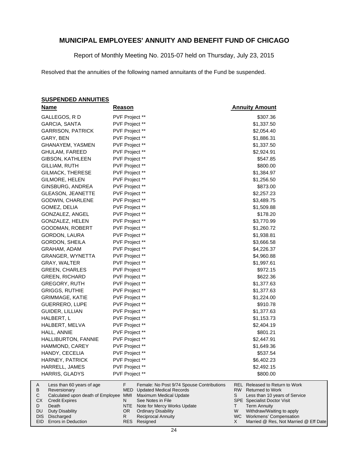Report of Monthly Meeting No. 2015-07 held on Thursday, July 23, 2015

Resolved that the annuities of the following named annuitants of the Fund be suspended.

#### **SUSPENDED ANNUITIES**

|        | <u>Name</u>                                           | <u>Reason</u>                                                                            | <b>Annuity Amount</b>                                                  |
|--------|-------------------------------------------------------|------------------------------------------------------------------------------------------|------------------------------------------------------------------------|
|        | GALLEGOS, R D                                         | PVF Project **                                                                           | \$307.36                                                               |
|        | <b>GARCIA, SANTA</b>                                  | PVF Project **                                                                           | \$1,337.50                                                             |
|        | <b>GARRISON, PATRICK</b>                              | PVF Project **                                                                           | \$2,054.40                                                             |
|        | GARY, BEN                                             | PVF Project **                                                                           | \$1,886.31                                                             |
|        | GHANAYEM, YASMEN                                      | PVF Project **                                                                           | \$1,337.50                                                             |
|        | GHULAM, FAREED                                        | PVF Project **                                                                           | \$2,924.91                                                             |
|        | GIBSON, KATHLEEN                                      | PVF Project **                                                                           | \$547.85                                                               |
|        | GILLIAM, RUTH                                         | PVF Project **                                                                           | \$800.00                                                               |
|        | GILMACK, THERESE                                      | PVF Project **                                                                           | \$1,384.97                                                             |
|        | GILMORE, HELEN                                        | PVF Project **                                                                           | \$1,256.50                                                             |
|        | GINSBURG, ANDREA                                      | PVF Project **                                                                           | \$873.00                                                               |
|        | <b>GLEASON, JEANETTE</b>                              | PVF Project **                                                                           | \$2,257.23                                                             |
|        | GODWIN, CHARLENE                                      | PVF Project **                                                                           | \$3,489.75                                                             |
|        | GOMEZ, DELIA                                          | PVF Project **                                                                           | \$1,509.88                                                             |
|        | GONZALEZ, ANGEL                                       | PVF Project **                                                                           | \$178.20                                                               |
|        | GONZALEZ, HELEN                                       | PVF Project **                                                                           | \$3,770.99                                                             |
|        | GOODMAN, ROBERT                                       | PVF Project **                                                                           | \$1,260.72                                                             |
|        | GORDON, LAURA                                         | PVF Project **                                                                           | \$1,938.81                                                             |
|        | GORDON, SHEILA                                        | PVF Project **                                                                           | \$3,666.58                                                             |
|        | GRAHAM, ADAM                                          | PVF Project **                                                                           | \$4,226.37                                                             |
|        | GRANGER, WYNETTA                                      | PVF Project **                                                                           | \$4,960.88                                                             |
|        | GRAY, WALTER                                          | PVF Project **                                                                           | \$1,997.61                                                             |
|        | <b>GREEN, CHARLES</b>                                 | PVF Project **                                                                           | \$972.15                                                               |
|        | <b>GREEN, RICHARD</b>                                 | PVF Project **                                                                           | \$622.36                                                               |
|        | GREGORY, RUTH                                         | PVF Project **                                                                           | \$1,377.63                                                             |
|        | GRIGGS, RUTHIE                                        | PVF Project **                                                                           | \$1,377.63                                                             |
|        | GRIMMAGE, KATIE                                       | PVF Project **                                                                           | \$1,224.00                                                             |
|        | GUERRERO, LUPE                                        | PVF Project **                                                                           | \$910.78                                                               |
|        | GUIDER, LILLIAN                                       | PVF Project **                                                                           | \$1,377.63                                                             |
|        | HALBERT, L                                            | PVF Project **                                                                           | \$1,153.73                                                             |
|        | HALBERT, MELVA                                        | PVF Project **                                                                           | \$2,404.19                                                             |
|        | HALL, ANNIE                                           | PVF Project **                                                                           | \$801.21                                                               |
|        | HALLIBURTON, FANNIE                                   | PVF Project **                                                                           | \$2,447.91                                                             |
|        | HAMMOND, CAREY                                        | PVF Project **                                                                           | \$1,649.36                                                             |
|        | HANDY, CECELIA                                        | PVF Project **                                                                           | \$537.54                                                               |
|        | HARNEY, PATRICK                                       | PVF Project **                                                                           | \$6,402.23                                                             |
|        | HARRELL, JAMES                                        | PVF Project **                                                                           | \$2,492.15                                                             |
|        | HARRIS, GLADYS                                        | PVF Project **                                                                           | \$800.00                                                               |
| A<br>В | Less than 60 years of age                             | F.<br>Female: No Post 9/74 Spouse Contributions<br>MED<br><b>Updated Medical Records</b> | REL Released to Return to Work<br><b>RW</b><br><b>Returned to Work</b> |
| С      | Reversionary<br>Calculated upon death of Employee MMI | Maximum Medical Update                                                                   | S<br>Less than 10 years of Service                                     |
|        | СX<br><b>Credit Expires</b>                           | N<br>See Notes in File                                                                   | <b>SPE</b> Specialist Doctor Visit                                     |

- Note for Mercy Works Update Ordinary Disability NTE OR
	- Reciprocal Annuity

Resigned RES

R

Death

D DU

Term Annuity

T W WC X

Withdraw/Waiting to apply Workmens' Compensation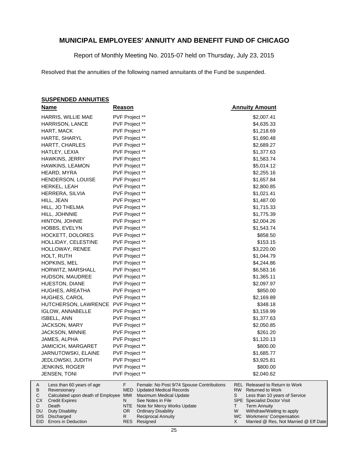Report of Monthly Meeting No. 2015-07 held on Thursday, July 23, 2015

Resolved that the annuities of the following named annuitants of the Fund be suspended.

#### **SUSPENDED ANNUITIES**

| <u>Name</u>                                         | <b>Reason</b>  |                                                                                 | <b>Annuity Amount</b>                                        |
|-----------------------------------------------------|----------------|---------------------------------------------------------------------------------|--------------------------------------------------------------|
| HARRIS, WILLIE MAE                                  | PVF Project ** |                                                                                 | \$2,007.41                                                   |
| <b>HARRISON, LANCE</b>                              | PVF Project ** |                                                                                 | \$4,635.33                                                   |
| HART, MACK                                          | PVF Project ** |                                                                                 | \$1,218.69                                                   |
| HARTE, SHARYL                                       | PVF Project ** |                                                                                 | \$1,690.48                                                   |
| HARTT, CHARLES                                      | PVF Project ** |                                                                                 | \$2,689.27                                                   |
| HATLEY, LEXIA                                       | PVF Project ** |                                                                                 | \$1,377.63                                                   |
| HAWKINS, JERRY                                      | PVF Project ** |                                                                                 | \$1,583.74                                                   |
| HAWKINS, LEAMON                                     | PVF Project ** |                                                                                 | \$5,014.12                                                   |
| HEARD, MYRA                                         | PVF Project ** |                                                                                 | \$2,255.16                                                   |
| <b>HENDERSON, LOUISE</b>                            | PVF Project ** |                                                                                 | \$1,657.84                                                   |
| HERKEL, LEAH                                        | PVF Project ** |                                                                                 | \$2,800.85                                                   |
| HERRERA, SILVIA                                     | PVF Project ** |                                                                                 | \$1,021.41                                                   |
| HILL, JEAN                                          | PVF Project ** |                                                                                 | \$1,487.00                                                   |
| HILL, JO THELMA                                     | PVF Project ** |                                                                                 | \$1,715.33                                                   |
| HILL, JOHNNIE                                       | PVF Project ** |                                                                                 | \$1,775.39                                                   |
| HINTON, JOHNIE                                      | PVF Project ** |                                                                                 | \$2,004.26                                                   |
| HOBBS, EVELYN                                       | PVF Project ** |                                                                                 | \$1,543.74                                                   |
| HOCKETT, DOLORES                                    | PVF Project ** |                                                                                 | \$858.50                                                     |
| HOLLIDAY, CELESTINE                                 | PVF Project ** |                                                                                 | \$153.15                                                     |
| HOLLOWAY, RENEE                                     | PVF Project ** |                                                                                 | \$3,220.00                                                   |
| HOLT, RUTH                                          | PVF Project ** |                                                                                 | \$1,044.79                                                   |
| <b>HOPKINS, MEL</b>                                 | PVF Project ** |                                                                                 | \$4,244.86                                                   |
| HORWITZ, MARSHALL                                   | PVF Project ** |                                                                                 | \$6,583.16                                                   |
| HUDSON, MAUDREE                                     | PVF Project ** |                                                                                 | \$1,365.11                                                   |
| HUESTON, DIANE                                      | PVF Project ** |                                                                                 | \$2,097.97                                                   |
| HUGHES, AREATHA                                     | PVF Project ** |                                                                                 | \$850.00                                                     |
| HUGHES, CAROL                                       | PVF Project ** |                                                                                 | \$2,169.89                                                   |
| HUTCHERSON, LAWRENCE                                | PVF Project ** |                                                                                 | \$348.18                                                     |
| <b>IGLOW, ANNABELLE</b>                             | PVF Project ** |                                                                                 | \$3,159.99                                                   |
| <b>ISBELL, ANN</b>                                  | PVF Project ** |                                                                                 | \$1,377.63                                                   |
| JACKSON, MARY                                       | PVF Project ** |                                                                                 | \$2,050.85                                                   |
| <b>JACKSON, MINNIE</b>                              | PVF Project ** |                                                                                 | \$261.20                                                     |
| JAMES, ALPHA                                        | PVF Project ** |                                                                                 | \$1,120.13                                                   |
| JAMICICH, MARGARET                                  | PVF Project ** |                                                                                 | \$800.00                                                     |
| JARNUTOWSKI, ELAINE                                 | PVF Project ** |                                                                                 | \$1,685.77                                                   |
| JEDLOWSKI, JUDITH                                   | PVF Project ** |                                                                                 | \$3,925.81                                                   |
| JENKINS, ROGER                                      | PVF Project ** |                                                                                 | \$800.00                                                     |
| JENSEN, TONI                                        | PVF Project ** |                                                                                 | \$2,040.62                                                   |
| Less than 60 years of age<br>A<br>В<br>Reversionary | F              | Female: No Post 9/74 Spouse Contributions<br><b>MED</b> Updated Medical Records | <b>REL</b> Released to Return to Work<br>RW Returned to Work |
| Calculated upon death of Employee<br>С              | MMI            | Maximum Medical Update                                                          | s<br>Less than 10 years of Service                           |
| CХ<br><b>Credit Expires</b>                         | N              | See Notes in File                                                               | <b>SPE</b> Specialist Doctor Visit                           |
| D<br>Death<br>Duty Disability<br>DU                 | NTE<br>OR.     | Note for Mercy Works Update<br><b>Ordinary Disability</b>                       | <b>Term Annuity</b><br>Τ<br>W<br>Withdraw/Waiting to apply   |
| Discharged<br>DIS I                                 | R.             | <b>Reciprocal Annuity</b>                                                       | WC Workmens' Compensation                                    |

DIS Discharged EID Errors in Deduction WC X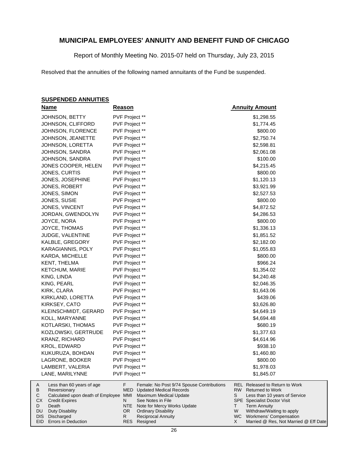Report of Monthly Meeting No. 2015-07 held on Thursday, July 23, 2015

Resolved that the annuities of the following named annuitants of the Fund be suspended.

#### **SUSPENDED ANNUITIES**

|         | <b>Name</b>                                                | Reason         |                                                                             |         | <b>Annuity Amount</b>                                            |
|---------|------------------------------------------------------------|----------------|-----------------------------------------------------------------------------|---------|------------------------------------------------------------------|
|         | JOHNSON, BETTY                                             | PVF Project ** |                                                                             |         | \$1,298.55                                                       |
|         | JOHNSON, CLIFFORD                                          | PVF Project ** |                                                                             |         | \$1,774.45                                                       |
|         | JOHNSON, FLORENCE                                          | PVF Project ** |                                                                             |         | \$800.00                                                         |
|         | JOHNSON, JEANETTE                                          | PVF Project ** |                                                                             |         | \$2,750.74                                                       |
|         | JOHNSON, LORETTA                                           | PVF Project ** |                                                                             |         | \$2,598.81                                                       |
|         | JOHNSON, SANDRA                                            | PVF Project ** |                                                                             |         | \$2,061.08                                                       |
|         | JOHNSON, SANDRA                                            | PVF Project ** |                                                                             |         | \$100.00                                                         |
|         | JONES COOPER, HELEN                                        | PVF Project ** |                                                                             |         | \$4,215.45                                                       |
|         | JONES, CURTIS                                              | PVF Project ** |                                                                             |         | \$800.00                                                         |
|         | JONES, JOSEPHINE                                           | PVF Project ** |                                                                             |         | \$1,120.13                                                       |
|         | JONES, ROBERT                                              | PVF Project ** |                                                                             |         | \$3,921.99                                                       |
|         | JONES, SIMON                                               | PVF Project ** |                                                                             |         | \$2,527.53                                                       |
|         | JONES, SUSIE                                               | PVF Project ** |                                                                             |         | \$800.00                                                         |
|         | JONES, VINCENT                                             | PVF Project ** |                                                                             |         | \$4,872.52                                                       |
|         | JORDAN, GWENDOLYN                                          | PVF Project ** |                                                                             |         | \$4,286.53                                                       |
|         | JOYCE, NORA                                                | PVF Project ** |                                                                             |         | \$800.00                                                         |
|         | JOYCE, THOMAS                                              | PVF Project ** |                                                                             |         | \$1,336.13                                                       |
|         | JUDGE, VALENTINE                                           | PVF Project ** |                                                                             |         | \$1,851.52                                                       |
|         | KALBLE, GREGORY                                            | PVF Project ** |                                                                             |         | \$2,182.00                                                       |
|         | KARAGIANNIS, POLY                                          | PVF Project ** |                                                                             |         | \$1,055.83                                                       |
|         | KARDA, MICHELLE                                            | PVF Project ** |                                                                             |         | \$800.00                                                         |
|         | KENT, THELMA                                               | PVF Project ** |                                                                             |         | \$966.24                                                         |
|         | <b>KETCHUM, MARIE</b>                                      | PVF Project ** |                                                                             |         | \$1,354.02                                                       |
|         | KING, LINDA                                                | PVF Project ** |                                                                             |         | \$4,240.48                                                       |
|         | KING, PEARL                                                | PVF Project ** |                                                                             |         | \$2,046.35                                                       |
|         | KIRK, CLARA                                                | PVF Project ** |                                                                             |         | \$1,643.06                                                       |
|         | KIRKLAND, LORETTA                                          | PVF Project ** |                                                                             |         | \$439.06                                                         |
|         | KIRKSEY, CATO                                              | PVF Project ** |                                                                             |         | \$3,626.80                                                       |
|         | KLEINSCHMIDT, GERARD                                       | PVF Project ** |                                                                             |         | \$4,649.19                                                       |
|         | KOLL, MARYANNE                                             | PVF Project ** |                                                                             |         | \$4,694.48                                                       |
|         | KOTLARSKI, THOMAS                                          | PVF Project ** |                                                                             |         | \$680.19                                                         |
|         | KOZLOWSKI, GERTRUDE                                        | PVF Project ** |                                                                             |         | \$1,377.63                                                       |
|         | <b>KRANZ, RICHARD</b>                                      | PVF Project ** |                                                                             |         | \$4,614.96                                                       |
|         | <b>KROL, EDWARD</b>                                        | PVF Project ** |                                                                             |         | \$938.10                                                         |
|         | KUKURUZA, BOHDAN                                           | PVF Project ** |                                                                             |         | \$1,460.80                                                       |
|         | LAGRONE, BOOKER                                            | PVF Project ** |                                                                             |         | \$800.00                                                         |
|         | LAMBERT, VALERIA                                           | PVF Project ** |                                                                             |         | \$1,978.03                                                       |
|         | LANE, MARILYNNE                                            | PVF Project ** |                                                                             |         | \$1,845.07                                                       |
| A<br>В  | Less than 60 years of age<br>Reversionary                  | F.<br>MED      | Female: No Post 9/74 Spouse Contributions<br><b>Updated Medical Records</b> | RW<br>S | <b>REL</b> Released to Return to Work<br><b>Returned to Work</b> |
| С<br>СX | Calculated upon death of Employee<br><b>Credit Expires</b> | MMI<br>N       | Maximum Medical Update<br>See Notes in File                                 |         | Less than 10 years of Service<br>SPE Specialist Doctor Visit     |
| D       | Death                                                      | NTE            | Note for Mercy Works Update                                                 | T       | <b>Term Annuity</b>                                              |
| DU      | <b>Duty Disability</b>                                     | OR.            | <b>Ordinary Disability</b>                                                  | W       | Withdraw/Waiting to apply                                        |

Ordinary Disability Reciprocal Annuity

Resigned RES

R

DIS Discharged

WC Workmens' Compensation

X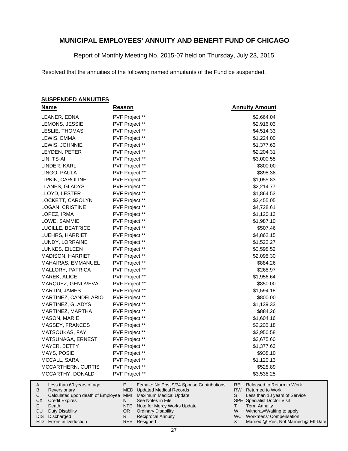Report of Monthly Meeting No. 2015-07 held on Thursday, July 23, 2015

Resolved that the annuities of the following named annuitants of the Fund be suspended.

#### **SUSPENDED ANNUITIES**

| <b>Name</b>                                         | <b>Reason</b>  |                                                                             | <b>Annuity Amount</b>                                                    |
|-----------------------------------------------------|----------------|-----------------------------------------------------------------------------|--------------------------------------------------------------------------|
| LEANER, EDNA                                        | PVF Project ** |                                                                             | \$2,664.04                                                               |
| LEMONS, JESSIE                                      | PVF Project ** |                                                                             | \$2,916.03                                                               |
| LESLIE, THOMAS                                      | PVF Project ** |                                                                             | \$4,514.33                                                               |
| LEWIS, EMMA                                         | PVF Project ** |                                                                             | \$1,224.00                                                               |
| LEWIS, JOHNNIE                                      | PVF Project ** |                                                                             | \$1,377.63                                                               |
| LEYDEN, PETER                                       | PVF Project ** |                                                                             | \$2,204.31                                                               |
| LIN, TS-AI                                          | PVF Project ** |                                                                             | \$3,000.55                                                               |
| LINDER, KARL                                        | PVF Project ** |                                                                             | \$800.00                                                                 |
| LINGO, PAULA                                        | PVF Project ** |                                                                             | \$898.38                                                                 |
| LIPKIN, CAROLINE                                    | PVF Project ** |                                                                             | \$1,055.83                                                               |
| LLANES, GLADYS                                      | PVF Project ** |                                                                             | \$2,214.77                                                               |
| LLOYD, LESTER                                       | PVF Project ** |                                                                             | \$1,864.53                                                               |
| LOCKETT, CAROLYN                                    | PVF Project ** |                                                                             | \$2,455.05                                                               |
| LOGAN, CRISTINE                                     | PVF Project ** |                                                                             | \$4,728.61                                                               |
| LOPEZ, IRMA                                         | PVF Project ** |                                                                             | \$1,120.13                                                               |
| LOWE, SAMMIE                                        | PVF Project ** |                                                                             | \$1,987.10                                                               |
| LUCILLE, BEATRICE                                   | PVF Project ** |                                                                             | \$507.46                                                                 |
| LUEHRS, HARRIET                                     | PVF Project ** |                                                                             | \$4,862.15                                                               |
| LUNDY, LORRAINE                                     | PVF Project ** |                                                                             | \$1,522.27                                                               |
| LUNKES, EILEEN                                      | PVF Project ** |                                                                             | \$3,598.52                                                               |
| <b>MADISON, HARRIET</b>                             | PVF Project ** |                                                                             | \$2,098.30                                                               |
| MAHAIRAS, EMMANUEL                                  | PVF Project ** |                                                                             | \$884.26                                                                 |
| MALLORY, PATRICA                                    | PVF Project ** |                                                                             | \$268.97                                                                 |
| MAREK, ALICE                                        | PVF Project ** |                                                                             | \$1,956.64                                                               |
| MARQUEZ, GENOVEVA                                   | PVF Project ** |                                                                             | \$850.00                                                                 |
| MARTIN, JAMES                                       | PVF Project ** |                                                                             | \$1,594.18                                                               |
| MARTINEZ, CANDELARIO                                | PVF Project ** |                                                                             | \$800.00                                                                 |
| MARTINEZ, GLADYS                                    | PVF Project ** |                                                                             | \$1,139.33                                                               |
| MARTINEZ, MARTHA                                    | PVF Project ** |                                                                             | \$884.26                                                                 |
| <b>MASON, MARIE</b>                                 | PVF Project ** |                                                                             | \$1,604.16                                                               |
| MASSEY, FRANCES                                     | PVF Project ** |                                                                             | \$2,205.18                                                               |
| MATSOUKAS, FAY                                      | PVF Project ** |                                                                             | \$2,950.58                                                               |
| MATSUNAGA, ERNEST                                   | PVF Project ** |                                                                             | \$3,675.60                                                               |
| MAYER, BETTY                                        | PVF Project ** |                                                                             | \$1,377.63                                                               |
| MAYS, POSIE                                         | PVF Project ** |                                                                             | \$938.10                                                                 |
| MCCALL, SARA                                        | PVF Project ** |                                                                             | \$1,120.13                                                               |
| MCCARTHERN, CURTIS                                  | PVF Project ** |                                                                             | \$528.89                                                                 |
| MCCARTHY, DONALD                                    | PVF Project ** |                                                                             | \$3,538.25                                                               |
| Less than 60 years of age<br>A<br>В<br>Reversionary | F.<br>MED      | Female: No Post 9/74 Spouse Contributions<br><b>Updated Medical Records</b> | <b>REL Released to Return to Work</b><br>RW  <br><b>Returned to Work</b> |
| Calculated upon death of Employee<br>С              | MMI            | Maximum Medical Update                                                      | S<br>Less than 10 years of Service                                       |
| СX<br><b>Credit Expires</b>                         | N              | See Notes in File                                                           | <b>SPE</b> Specialist Doctor Visit                                       |
| D<br>Death                                          |                | NTE Note for Mercy Works Update                                             | <b>Term Annuity</b><br>т                                                 |

NTE Note for Mercy Works Update OR Ordinary Disability

Reciprocal Annuity Resigned RES

R

Duty Disability DIS Discharged

DU

W Withdraw/Waiting to apply Workmens' Compensation

WC X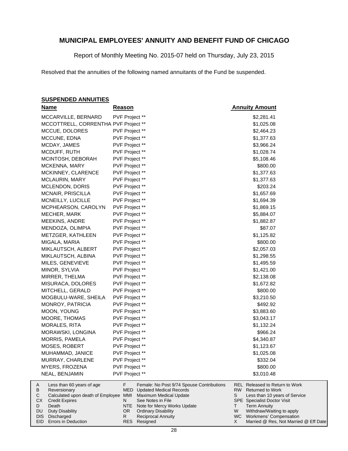Report of Monthly Meeting No. 2015-07 held on Thursday, July 23, 2015

Resolved that the annuities of the following named annuitants of the Fund be suspended.

#### **SUSPENDED ANNUITIES**

Duty Disability DIS Discharged EID Errors in Deduction

DU

| <b>Name</b>                                         | <u>Reason</u>  |                                                                             | <b>Annuity Amount</b>                                                   |
|-----------------------------------------------------|----------------|-----------------------------------------------------------------------------|-------------------------------------------------------------------------|
| MCCARVILLE, BERNARD                                 | PVF Project ** |                                                                             | \$2,281.41                                                              |
| MCCOTTRELL, CORRENTHA PVF Project **                |                |                                                                             | \$1,025.08                                                              |
| MCCUE, DOLORES                                      | PVF Project ** |                                                                             | \$2,464.23                                                              |
| MCCUNE, EDNA                                        | PVF Project ** |                                                                             | \$1,377.63                                                              |
| MCDAY, JAMES                                        | PVF Project ** |                                                                             | \$3,966.24                                                              |
| MCDUFF, RUTH                                        | PVF Project ** |                                                                             | \$1,028.74                                                              |
| MCINTOSH, DEBORAH                                   | PVF Project ** |                                                                             | \$5,108.46                                                              |
| MCKENNA, MARY                                       | PVF Project ** |                                                                             | \$800.00                                                                |
| MCKINNEY, CLARENCE                                  | PVF Project ** |                                                                             | \$1,377.63                                                              |
| <b>MCLAURIN, MARY</b>                               | PVF Project ** |                                                                             | \$1,377.63                                                              |
| MCLENDON, DORIS                                     | PVF Project ** |                                                                             | \$203.24                                                                |
| MCNAIR, PRISCILLA                                   | PVF Project ** |                                                                             | \$1,657.69                                                              |
| MCNEILLY, LUCILLE                                   | PVF Project ** |                                                                             | \$1,694.39                                                              |
| MCPHEARSON, CAROLYN                                 | PVF Project ** |                                                                             | \$1,869.15                                                              |
| MECHER, MARK                                        | PVF Project ** |                                                                             | \$5,884.07                                                              |
| MEEKINS, ANDRE                                      | PVF Project ** |                                                                             | \$1,882.87                                                              |
| MENDOZA, OLIMPIA                                    | PVF Project ** |                                                                             | \$87.07                                                                 |
| METZGER, KATHLEEN                                   | PVF Project ** |                                                                             | \$1,125.82                                                              |
| MIGALA, MARIA                                       | PVF Project ** |                                                                             | \$800.00                                                                |
| MIKLAUTSCH, ALBERT                                  | PVF Project ** |                                                                             | \$2,057.03                                                              |
| MIKLAUTSCH, ALBINA                                  | PVF Project ** |                                                                             | \$1,298.55                                                              |
| MILES, GENEVIEVE                                    | PVF Project ** |                                                                             | \$1,495.59                                                              |
| MINOR, SYLVIA                                       | PVF Project ** |                                                                             | \$1,421.00                                                              |
| MIRRER, THELMA                                      | PVF Project ** |                                                                             | \$2,138.08                                                              |
| MISURACA, DOLORES                                   | PVF Project ** |                                                                             | \$1,672.82                                                              |
| MITCHELL, GERALD                                    | PVF Project ** |                                                                             | \$800.00                                                                |
| MOGBULU-WARE, SHEILA                                | PVF Project ** |                                                                             | \$3,210.50                                                              |
| MONROY, PATRICIA                                    | PVF Project ** |                                                                             | \$492.92                                                                |
| MOON, YOUNG                                         | PVF Project ** |                                                                             | \$3,883.60                                                              |
| MOORE, THOMAS                                       | PVF Project ** |                                                                             | \$3,043.17                                                              |
| MORALES, RITA                                       | PVF Project ** |                                                                             | \$1,132.24                                                              |
| MORAWSKI, LONGINA                                   | PVF Project ** |                                                                             | \$966.24                                                                |
| MORRIS, PAMELA                                      | PVF Project ** |                                                                             | \$4,340.87                                                              |
| MOSES, ROBERT                                       | PVF Project ** |                                                                             | \$1,123.67                                                              |
| MUHAMMAD, JANICE                                    | PVF Project ** |                                                                             | \$1,025.08                                                              |
| MURRAY, CHARLENE                                    | PVF Project ** |                                                                             | \$332.04                                                                |
| MYERS, FROZENA                                      | PVF Project ** |                                                                             | \$800.00                                                                |
| NEAL, BENJAMIN                                      | PVF Project ** |                                                                             | \$3,010.48                                                              |
| Less than 60 years of age<br>A<br>В<br>Reversionary | F.<br>MED      | Female: No Post 9/74 Spouse Contributions<br><b>Updated Medical Records</b> | <b>REL</b> Released to Return to Work<br>RW.<br><b>Returned to Work</b> |
| Calculated upon death of Employee MMI<br>С          |                | Maximum Medical Update                                                      | S<br>Less than 10 years of Service                                      |
| СX<br><b>Credit Expires</b>                         | N              | See Notes in File                                                           | <b>SPE</b> Specialist Doctor Visit                                      |
| Death<br>D                                          | NTE            | Note for Mercy Works Update                                                 | <b>Term Annuity</b><br>т                                                |

Withdraw/Waiting to apply Workmens' Compensation

W WC X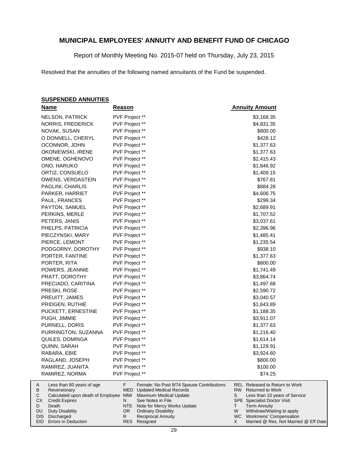Report of Monthly Meeting No. 2015-07 held on Thursday, July 23, 2015

Resolved that the annuities of the following named annuitants of the Fund be suspended.

#### **SUSPENDED ANNUITIES**

|        | <b>Name</b>                                           | <u>Reason</u>  |     |                                                          |      | <b>Annuity Amount</b>                                     |
|--------|-------------------------------------------------------|----------------|-----|----------------------------------------------------------|------|-----------------------------------------------------------|
|        | <b>NELSON, PATRICK</b>                                | PVF Project ** |     |                                                          |      | \$3,168.35                                                |
|        | NORRIS, FREDERICK                                     | PVF Project ** |     |                                                          |      | \$4,831.35                                                |
|        | NOVAK, SUSAN                                          | PVF Project ** |     |                                                          |      | \$800.00                                                  |
|        | O DONNELL, CHERYL                                     | PVF Project ** |     |                                                          |      | \$428.12                                                  |
|        | OCONNOR, JOHN                                         | PVF Project ** |     |                                                          |      | \$1,377.63                                                |
|        | OKONIEWSKI, IRENE                                     | PVF Project ** |     |                                                          |      | \$1,377.63                                                |
|        | OMENE, OGHENOVO                                       | PVF Project ** |     |                                                          |      | \$2,415.43                                                |
|        | ONO, HARUKO                                           | PVF Project ** |     |                                                          |      | \$1,846.92                                                |
|        | ORTIZ, CONSUELO                                       | PVF Project ** |     |                                                          |      | \$1,409.15                                                |
|        | <b>OWENS, VERDASTEIN</b>                              | PVF Project ** |     |                                                          |      | \$767.81                                                  |
|        | PAGLINI, CHARLIS                                      | PVF Project ** |     |                                                          |      | \$884.26                                                  |
|        | PARKER, HARRIET                                       | PVF Project ** |     |                                                          |      | \$4,606.75                                                |
|        | PAUL, FRANCES                                         | PVF Project ** |     |                                                          |      | \$299.34                                                  |
|        | PAYTON, SAMUEL                                        | PVF Project ** |     |                                                          |      | \$2,689.91                                                |
|        | PERKINS, MERLE                                        | PVF Project ** |     |                                                          |      | \$1,707.52                                                |
|        | PETERS, JANIS                                         | PVF Project ** |     |                                                          |      | \$3,037.61                                                |
|        | PHELPS, PATRICIA                                      | PVF Project ** |     |                                                          |      | \$2,396.96                                                |
|        | PIECZYNSKI, MARY                                      | PVF Project ** |     |                                                          |      | \$1,485.41                                                |
|        | PIERCE, LEMONT                                        | PVF Project ** |     |                                                          |      | \$1,235.54                                                |
|        | PODGORNY, DOROTHY                                     | PVF Project ** |     |                                                          |      | \$938.10                                                  |
|        | PORTER, FANTINE                                       | PVF Project ** |     |                                                          |      | \$1,377.63                                                |
|        | PORTER, RITA                                          | PVF Project ** |     |                                                          |      | \$800.00                                                  |
|        | POWERS, JEANNIE                                       | PVF Project ** |     |                                                          |      | \$1,741.49                                                |
|        | PRATT, DOROTHY                                        | PVF Project ** |     |                                                          |      | \$3,864.74                                                |
|        | PRECIADO, CARITINA                                    | PVF Project ** |     |                                                          |      | \$1,497.68                                                |
|        | PRESKI, ROSE                                          | PVF Project ** |     |                                                          |      | \$2,590.72                                                |
|        | PREUITT, JAMES                                        | PVF Project ** |     |                                                          |      | \$3,040.57                                                |
|        | PRIDGEN, RUTHIE                                       | PVF Project ** |     |                                                          |      | \$1,643.89                                                |
|        | PUCKETT, ERNESTINE                                    | PVF Project ** |     |                                                          |      | \$1,188.35                                                |
|        | PUGH, JIMMIE                                          | PVF Project ** |     |                                                          |      | \$3,911.07                                                |
|        | PURNELL, DORIS                                        | PVF Project ** |     |                                                          |      | \$1,377.63                                                |
|        | PURRINGTON, SUZANNA                                   | PVF Project ** |     |                                                          |      | \$1,216.40                                                |
|        | QUILES, DOMINGA                                       | PVF Project ** |     |                                                          |      | \$1,614.14                                                |
|        | QUINN, SARAH                                          | PVF Project ** |     |                                                          |      | \$1,129.91                                                |
|        | RABARA, EBIE                                          | PVF Project ** |     |                                                          |      | \$3,924.60                                                |
|        | RAGLAND, JOSEPH                                       | PVF Project ** |     |                                                          |      | \$800.00                                                  |
|        | RAMIREZ, JUANITA                                      | PVF Project ** |     |                                                          |      | \$100.00                                                  |
|        | RAMIREZ, NORMA                                        | PVF Project ** |     |                                                          |      | \$74.25                                                   |
| A      | Less than 60 years of age                             | F              | MED | Female: No Post 9/74 Spouse Contributions                | RW l | REL Released to Return to Work<br><b>Returned to Work</b> |
| В<br>С | Reversionary<br>Calculated upon death of Employee MMI |                |     | <b>Updated Medical Records</b><br>Maximum Medical Update | S    | Less than 10 years of Service                             |
| СX     | <b>Credit Expires</b>                                 | N              |     | See Notes in File                                        |      | <b>SPE</b> Specialist Doctor Visit                        |
| D      | Death                                                 |                | NTE | Note for Mercy Works Update                              | T.   | <b>Term Annuity</b>                                       |

NTE Note for Mercy Works Update OR Ordinary Disability

Resigned RES

R

Reciprocal Annuity

Duty Disability DIS Discharged EID Errors in Deduction

DU

W Withdraw/Waiting to apply Workmens' Compensation

WC X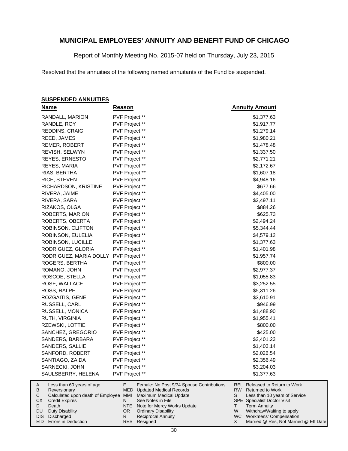Report of Monthly Meeting No. 2015-07 held on Thursday, July 23, 2015

Resolved that the annuities of the following named annuitants of the Fund be suspended.

#### **SUSPENDED ANNUITIES**

| <b>Name</b>                                                 | <b>Reason</b>  |                                                          | <b>Annuity Amount</b>                                                 |
|-------------------------------------------------------------|----------------|----------------------------------------------------------|-----------------------------------------------------------------------|
| RANDALL, MARION                                             | PVF Project ** |                                                          | \$1,377.63                                                            |
| RANDLE, ROY                                                 | PVF Project ** |                                                          | \$1,917.77                                                            |
| REDDINS, CRAIG                                              | PVF Project ** |                                                          | \$1,279.14                                                            |
| REED, JAMES                                                 | PVF Project ** |                                                          | \$1,980.21                                                            |
| REMER, ROBERT                                               | PVF Project ** |                                                          | \$1,478.48                                                            |
| REVISH, SELWYN                                              | PVF Project ** |                                                          | \$1,337.50                                                            |
| REYES, ERNESTO                                              | PVF Project ** |                                                          | \$2,771.21                                                            |
| REYES, MARIA                                                | PVF Project ** |                                                          | \$2,172.67                                                            |
| RIAS, BERTHA                                                | PVF Project ** |                                                          | \$1,607.18                                                            |
| RICE, STEVEN                                                | PVF Project ** |                                                          | \$4,948.16                                                            |
| RICHARDSON, KRISTINE                                        | PVF Project ** |                                                          | \$677.66                                                              |
| RIVERA, JAIME                                               | PVF Project ** |                                                          | \$4,405.00                                                            |
| RIVERA, SARA                                                | PVF Project ** |                                                          | \$2,497.11                                                            |
| RIZAKOS, OLGA                                               | PVF Project ** |                                                          | \$884.26                                                              |
| ROBERTS, MARION                                             | PVF Project ** |                                                          | \$625.73                                                              |
| ROBERTS, OBERTA                                             | PVF Project ** |                                                          | \$2,494.24                                                            |
| ROBINSON, CLIFTON                                           | PVF Project ** |                                                          | \$5,344.44                                                            |
| ROBINSON, EULELIA                                           | PVF Project ** |                                                          | \$4,579.12                                                            |
| ROBINSON, LUCILLE                                           | PVF Project ** |                                                          | \$1,377.63                                                            |
| RODRIGUEZ, GLORIA                                           | PVF Project ** |                                                          | \$1,401.98                                                            |
| RODRIGUEZ, MARIA DOLLY                                      | PVF Project ** |                                                          | \$1,957.74                                                            |
| ROGERS, BERTHA                                              | PVF Project ** |                                                          | \$800.00                                                              |
| ROMANO, JOHN                                                | PVF Project ** |                                                          | \$2,977.37                                                            |
| ROSCOE, STELLA                                              | PVF Project ** |                                                          | \$1,055.83                                                            |
| ROSE, WALLACE                                               | PVF Project ** |                                                          | \$3,252.55                                                            |
| ROSS, RALPH                                                 | PVF Project ** |                                                          | \$5,311.26                                                            |
| ROZGAITIS, GENE                                             | PVF Project ** |                                                          | \$3,610.91                                                            |
| RUSSELL, CARL                                               | PVF Project ** |                                                          | \$946.99                                                              |
| RUSSELL, MONICA                                             | PVF Project ** |                                                          | \$1,488.90                                                            |
| RUTH, VIRGINIA                                              | PVF Project ** |                                                          | \$1,955.41                                                            |
| RZEWSKI, LOTTIE                                             | PVF Project ** |                                                          | \$800.00                                                              |
| SANCHEZ, GREGORIO                                           | PVF Project ** |                                                          | \$425.00                                                              |
| SANDERS, BARBARA                                            | PVF Project ** |                                                          | \$2,401.23                                                            |
| SANDERS, SALLIE                                             | PVF Project ** |                                                          | \$1,403.14                                                            |
| SANFORD, ROBERT                                             | PVF Project ** |                                                          | \$2,026.54                                                            |
| SANTIAGO, ZAIDA                                             | PVF Project ** |                                                          | \$2,356.49                                                            |
| SARNECKI, JOHN                                              | PVF Project ** |                                                          | \$3,204.03                                                            |
| SAULSBERRY, HELENA                                          | PVF Project ** |                                                          | \$1,377.63                                                            |
| Less than 60 years of age<br>A                              | F.             | Female: No Post 9/74 Spouse Contributions                | <b>REL Released to Return to Work</b>                                 |
| В<br>Reversionary<br>Calculated upon death of Employee<br>С | MED<br>MMI     | <b>Updated Medical Records</b><br>Maximum Medical Update | RW  <br><b>Returned to Work</b><br>S<br>Less than 10 years of Service |
| СX<br><b>Credit Expires</b>                                 | N              | See Notes in File                                        | SPE Specialist Doctor Visit                                           |

- Death Duty Disability D DU
- DIS Discharged
- EID Errors in Deduction

Note for Mercy Works Update

OR Ordinary Disability Reciprocal Annuity

Resigned RES

NTE R

Term Annuity

T W X

Withdraw/Waiting to apply WC Workmens' Compensation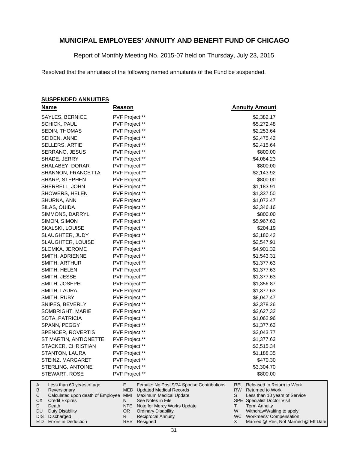Report of Monthly Meeting No. 2015-07 held on Thursday, July 23, 2015

Resolved that the annuities of the following named annuitants of the Fund be suspended.

#### **SUSPENDED ANNUITIES**

Duty Disability DIS Discharged EID Errors in Deduction

DU

|        | <u>Name</u>                               | <b>Reason</b>  |                                                                             |     | <b>Annuity Amount</b>                                            |
|--------|-------------------------------------------|----------------|-----------------------------------------------------------------------------|-----|------------------------------------------------------------------|
|        | SAYLES, BERNICE                           | PVF Project ** |                                                                             |     | \$2,382.17                                                       |
|        | <b>SCHICK, PAUL</b>                       | PVF Project ** |                                                                             |     | \$5,272.48                                                       |
|        | SEDIN, THOMAS                             | PVF Project ** |                                                                             |     | \$2,253.64                                                       |
|        | SEIDEN, ANNE                              | PVF Project ** |                                                                             |     | \$2,475.42                                                       |
|        | <b>SELLERS, ARTIE</b>                     | PVF Project ** |                                                                             |     | \$2,415.64                                                       |
|        | SERRANO, JESUS                            | PVF Project ** |                                                                             |     | \$800.00                                                         |
|        | SHADE, JERRY                              | PVF Project ** |                                                                             |     | \$4,084.23                                                       |
|        | SHALABEY, DORAR                           | PVF Project ** |                                                                             |     | \$800.00                                                         |
|        | SHANNON, FRANCETTA                        | PVF Project ** |                                                                             |     | \$2,143.92                                                       |
|        | SHARP, STEPHEN                            | PVF Project ** |                                                                             |     | \$800.00                                                         |
|        | SHERRELL, JOHN                            | PVF Project ** |                                                                             |     | \$1,183.91                                                       |
|        | SHOWERS, HELEN                            | PVF Project ** |                                                                             |     | \$1,337.50                                                       |
|        | SHURNA, ANN                               | PVF Project ** |                                                                             |     | \$1,072.47                                                       |
|        | SILAS, OUIDA                              | PVF Project ** |                                                                             |     | \$3,346.16                                                       |
|        | SIMMONS, DARRYL                           | PVF Project ** |                                                                             |     | \$800.00                                                         |
|        | SIMON, SIMON                              | PVF Project ** |                                                                             |     | \$5,967.63                                                       |
|        | SKALSKI, LOUISE                           | PVF Project ** |                                                                             |     | \$204.19                                                         |
|        | SLAUGHTER, JUDY                           | PVF Project ** |                                                                             |     | \$3,180.42                                                       |
|        | SLAUGHTER, LOUISE                         | PVF Project ** |                                                                             |     | \$2,547.91                                                       |
|        | SLOMKA, JEROME                            | PVF Project ** |                                                                             |     | \$4,901.32                                                       |
|        | SMITH, ADRIENNE                           | PVF Project ** |                                                                             |     | \$1,543.31                                                       |
|        | SMITH, ARTHUR                             | PVF Project ** |                                                                             |     | \$1,377.63                                                       |
|        | SMITH, HELEN                              | PVF Project ** |                                                                             |     | \$1,377.63                                                       |
|        | SMITH, JESSE                              | PVF Project ** |                                                                             |     | \$1,377.63                                                       |
|        | SMITH, JOSEPH                             | PVF Project ** |                                                                             |     | \$1,356.87                                                       |
|        | SMITH, LAURA                              | PVF Project ** |                                                                             |     | \$1,377.63                                                       |
|        | SMITH, RUBY                               | PVF Project ** |                                                                             |     | \$8,047.47                                                       |
|        | SNIPES, BEVERLY                           | PVF Project ** |                                                                             |     | \$2,378.26                                                       |
|        | SOMBRIGHT, MARIE                          | PVF Project ** |                                                                             |     | \$3,627.32                                                       |
|        | SOTA, PATRICIA                            | PVF Project ** |                                                                             |     | \$1,062.96                                                       |
|        | SPANN, PEGGY                              | PVF Project ** |                                                                             |     | \$1,377.63                                                       |
|        | SPENCER, ROVERTIS                         | PVF Project ** |                                                                             |     | \$3,043.77                                                       |
|        | ST MARTIN, ANTIONETTE                     | PVF Project ** |                                                                             |     | \$1,377.63                                                       |
|        | STACKER, CHRISTIAN                        | PVF Project ** |                                                                             |     | \$3,515.34                                                       |
|        | STANTON, LAURA                            | PVF Project ** |                                                                             |     | \$1,188.35                                                       |
|        | STEINZ, MARGARET                          | PVF Project ** |                                                                             |     | \$470.30                                                         |
|        | STERLING, ANTOINE                         | PVF Project ** |                                                                             |     | \$3,304.70                                                       |
|        | STEWART, ROSE                             | PVF Project ** |                                                                             |     | \$800.00                                                         |
| A<br>В | Less than 60 years of age<br>Reversionary | F<br>MED       | Female: No Post 9/74 Spouse Contributions<br><b>Updated Medical Records</b> | RW. | <b>REL</b> Released to Return to Work<br><b>Returned to Work</b> |
| С      | Calculated upon death of Employee MMI     |                | Maximum Medical Update                                                      | S   | Less than 10 years of Service                                    |
| СX     | <b>Credit Expires</b>                     | N              | See Notes in File                                                           |     | <b>SPE</b> Specialist Doctor Visit                               |
| D      | Death                                     | NTE            | Note for Mercy Works Update                                                 | Τ   | <b>Term Annuity</b>                                              |

Ordinary Disability Reciprocal Annuity

Resigned RES

OR R

Withdraw/Waiting to apply WC Workmens' Compensation

W X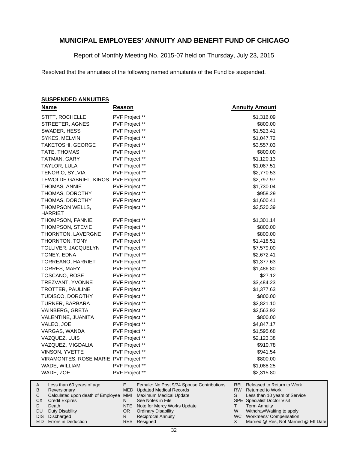Report of Monthly Meeting No. 2015-07 held on Thursday, July 23, 2015

Resolved that the annuities of the following named annuitants of the Fund be suspended.

#### **SUSPENDED ANNUITIES**

| <u>Name</u>                                         | <u>Reason</u>                                                                        | <b>Annuity Amount</b>                                                    |
|-----------------------------------------------------|--------------------------------------------------------------------------------------|--------------------------------------------------------------------------|
| STITT, ROCHELLE                                     | PVF Project **                                                                       | \$1,316.09                                                               |
| STREETER, AGNES                                     | PVF Project **                                                                       | \$800.00                                                                 |
| SWADER, HESS                                        | PVF Project **                                                                       | \$1,523.41                                                               |
| SYKES, MELVIN                                       | PVF Project **                                                                       | \$1,047.72                                                               |
| TAKETOSHI, GEORGE                                   | PVF Project **                                                                       | \$3,557.03                                                               |
| TATE, THOMAS                                        | PVF Project **                                                                       | \$800.00                                                                 |
| TATMAN, GARY                                        | PVF Project **                                                                       | \$1,120.13                                                               |
| TAYLOR, LULA                                        | PVF Project **                                                                       | \$1,087.51                                                               |
| TENORIO, SYLVIA                                     | PVF Project **                                                                       | \$2,770.53                                                               |
| TEWOLDE GABRIEL, KIROS PVF Project **               |                                                                                      | \$2,797.97                                                               |
| THOMAS, ANNIE                                       | PVF Project **                                                                       | \$1,730.04                                                               |
| THOMAS, DOROTHY                                     | PVF Project **                                                                       | \$958.29                                                                 |
| THOMAS, DOROTHY                                     | PVF Project **                                                                       | \$1,600.41                                                               |
| THOMPSON WELLS,<br><b>HARRIET</b>                   | PVF Project **                                                                       | \$3,520.39                                                               |
| THOMPSON, FANNIE                                    | PVF Project **                                                                       | \$1,301.14                                                               |
| THOMPSON, STEVIE                                    | PVF Project **                                                                       | \$800.00                                                                 |
| THORNTON, LAVERGNE                                  | PVF Project **                                                                       | \$800.00                                                                 |
| THORNTON, TONY                                      | PVF Project **                                                                       | \$1,418.51                                                               |
| TOLLIVER, JACQUELYN                                 | PVF Project **                                                                       | \$7,579.00                                                               |
| TONEY, EDNA                                         | PVF Project **                                                                       | \$2,672.41                                                               |
| TORREANO, HARRIET                                   | PVF Project **                                                                       | \$1,377.63                                                               |
| <b>TORRES, MARY</b>                                 | PVF Project **                                                                       | \$1,486.80                                                               |
| TOSCANO, ROSE                                       | PVF Project **                                                                       | \$27.12                                                                  |
| TREZVANT, YVONNE                                    | PVF Project **                                                                       | \$3,484.23                                                               |
| TROTTER, PAULINE                                    | PVF Project **                                                                       | \$1,377.63                                                               |
| TUDISCO, DOROTHY                                    | PVF Project **                                                                       | \$800.00                                                                 |
| TURNER, BARBARA                                     | PVF Project **                                                                       | \$2,821.10                                                               |
| VAINBERG, GRETA                                     | PVF Project **                                                                       | \$2,563.92                                                               |
| VALENTINE, JUANITA                                  | PVF Project **                                                                       | \$800.00                                                                 |
| VALEO, JOE                                          | PVF Project **                                                                       | \$4,847.17                                                               |
| VARGAS, WANDA                                       | PVF Project **                                                                       | \$1,595.68                                                               |
| VAZQUEZ, LUIS                                       | PVF Project **                                                                       | \$2,123.38                                                               |
| VAZQUEZ, MIGDALIA                                   | PVF Project **                                                                       | \$910.78                                                                 |
| <b>VINSON, YVETTE</b>                               | PVF Project **                                                                       | \$941.54                                                                 |
| VIRAMONTES, ROSE MARIE PVF Project **               |                                                                                      | \$800.00                                                                 |
| WADE, WILLIAM                                       | PVF Project **                                                                       | \$1,088.25                                                               |
| WADE, ZOE                                           | PVF Project **                                                                       | \$2,315.80                                                               |
| Less than 60 years of age<br>Α<br>B<br>Reversionary | F<br>Female: No Post 9/74 Spouse Contributions<br><b>MED</b> Updated Medical Records | <b>REL Released to Return to Work</b><br>RW  <br><b>Returned to Work</b> |

| $\sim$       | <b>INUVULUIUI V</b>                                          | <b>IVILD</b> Opdated McGlodi Roodrab |   | 1111                                  |
|--------------|--------------------------------------------------------------|--------------------------------------|---|---------------------------------------|
| $\mathsf{C}$ | Calculated upon death of Employee MMI Maximum Medical Update |                                      |   | Less than 10 years of Service         |
|              | <b>CX</b> Credit Expires                                     | See Notes in File                    |   | <b>SPE</b> Specialist Doctor Visit    |
| D            | Death                                                        | NTE Note for Mercy Works Update      |   | <b>Term Annuity</b>                   |
|              | DU Duty Disability                                           | OR Ordinary Disability               | W | Withdraw/Waiting to apply             |
|              | DIS Discharged                                               | <b>Reciprocal Annuity</b>            |   | WC Workmens' Compensation             |
|              | EID Errors in Deduction                                      | RES Resigned                         |   | Married @ Res, Not Married @ Eff Date |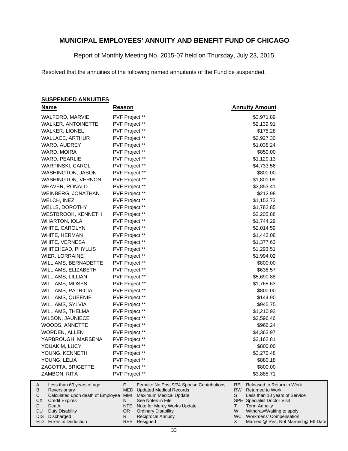Report of Monthly Meeting No. 2015-07 held on Thursday, July 23, 2015

Resolved that the annuities of the following named annuitants of the Fund be suspended.

#### **SUSPENDED ANNUITIES**

| <b>Name</b>                                                     | <b>Reason</b>                                                   | <b>Annuity Amount</b>                                                |
|-----------------------------------------------------------------|-----------------------------------------------------------------|----------------------------------------------------------------------|
| WALFORD, MARVIE                                                 | PVF Project **                                                  | \$3,971.89                                                           |
| <b>WALKER, ANTOINETTE</b>                                       | PVF Project **                                                  | \$2,139.91                                                           |
| <b>WALKER, LIONEL</b>                                           | PVF Project **                                                  | \$175.28                                                             |
| WALLACE, ARTHUR                                                 | PVF Project **                                                  | \$2,927.30                                                           |
| WARD, AUDREY                                                    | PVF Project **                                                  | \$1,038.24                                                           |
| WARD, MOIRA                                                     | PVF Project **                                                  | \$850.00                                                             |
| WARD, PEARLIE                                                   | PVF Project **                                                  | \$1,120.13                                                           |
| <b>WARPINSKI, CAROL</b>                                         | PVF Project **                                                  | \$4,733.56                                                           |
| WASHINGTON, JASON                                               | PVF Project **                                                  | \$800.00                                                             |
| <b>WASHINGTON, VERNON</b>                                       | PVF Project **                                                  | \$1,801.09                                                           |
| WEAVER, RONALD                                                  | PVF Project **                                                  | \$3,853.41                                                           |
| WEINBERG, JONATHAN                                              | PVF Project **                                                  | \$212.98                                                             |
| WELCH, INEZ                                                     | PVF Project **                                                  | \$1,153.73                                                           |
| WELLS, DOROTHY                                                  | PVF Project **                                                  | \$1,782.85                                                           |
| WESTBROOK, KENNETH                                              | PVF Project **                                                  | \$2,205.88                                                           |
| <b>WHARTON, IOLA</b>                                            | PVF Project **                                                  | \$1,744.29                                                           |
| WHITE, CAROLYN                                                  | PVF Project **                                                  | \$2,014.59                                                           |
| WHITE, HERMAN                                                   | PVF Project **                                                  | \$1,443.08                                                           |
| WHITE, VERNESA                                                  | PVF Project **                                                  | \$1,377.63                                                           |
| WHITEHEAD, PHYLLIS                                              | PVF Project **                                                  | \$1,293.51                                                           |
| WIER, LORRAINE                                                  | PVF Project **                                                  | \$1,994.02                                                           |
| WILLIAMS, BERNADETTE                                            | PVF Project **                                                  | \$800.00                                                             |
| WILLIAMS, ELIZABETH                                             | PVF Project **                                                  | \$636.57                                                             |
| WILLIAMS, LILLIAN                                               | PVF Project **                                                  | \$5,690.88                                                           |
| WILLIAMS, MOSES                                                 | PVF Project **                                                  | \$1,768.63                                                           |
| WILLIAMS, PATRICIA                                              | PVF Project **                                                  | \$800.00                                                             |
| WILLIAMS, QUEENIE                                               | PVF Project **                                                  | \$144.90                                                             |
| WILLIAMS, SYLVIA                                                | PVF Project **                                                  | \$945.75                                                             |
| WILLIAMS, THELMA                                                | PVF Project **                                                  | \$1,210.92                                                           |
| <b>WILSON, JAUNIECE</b>                                         | PVF Project **                                                  | \$2,596.46                                                           |
| WOODS, ANNETTE                                                  | PVF Project **                                                  | \$966.24                                                             |
| WORDEN, ALLEN                                                   | PVF Project **                                                  | \$4,363.97                                                           |
| YARBROUGH, MARSENA                                              | PVF Project **                                                  | \$2,162.81                                                           |
| YOUAKIM, LUCY                                                   | PVF Project **                                                  | \$800.00                                                             |
| YOUNG, KENNETH                                                  | PVF Project **                                                  | \$3,270.48                                                           |
| YOUNG, LELIA                                                    | PVF Project **                                                  | \$880.18                                                             |
| ZAGOTTA, BRIGETTE                                               | PVF Project **                                                  | \$800.00                                                             |
| ZAMBON, RITA                                                    | PVF Project **                                                  | \$3,885.71                                                           |
| Less than 60 years of age<br>A                                  | F.<br>Female: No Post 9/74 Spouse Contributions                 | REL Released to Return to Work                                       |
| В<br>Reversionary<br>Calculated upon death of Employee MMI<br>С | MED<br><b>Updated Medical Records</b><br>Maximum Medical Update | RW.<br><b>Returned to Work</b><br>S<br>Less than 10 years of Service |
| СX<br><b>Credit Expires</b>                                     | N<br>See Notes in File                                          | SPE Specialist Doctor Visit                                          |

- Death Duty Disability D DU
- DIS Discharged EID Errors in Deduction

NTE Note for Mercy Works Update Ordinary Disability Reciprocal Annuity

Resigned RES

OR R

Specialist Doctor Visit Term Annuity

SPE T W X

Withdraw/Waiting to apply WC Workmens' Compensation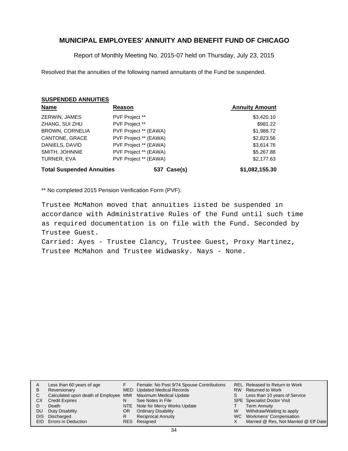Report of Monthly Meeting No. 2015-07 held on Thursday, July 23, 2015

Resolved that the annuities of the following named annuitants of the Fund be suspended.

#### **SUSPENDED ANNUITIES**

| <b>Name</b>                      | Reason                | <b>Annuity Amount</b> |
|----------------------------------|-----------------------|-----------------------|
| ZERWIN, JAMES                    | PVF Project **        | \$3,420.10            |
| ZHANG, SUI ZHU                   | PVF Project **        | \$981.22              |
| <b>BROWN, CORNELIA</b>           | PVF Project ** (EAWA) | \$1,988.72            |
| CANTONE, GRACE                   | PVF Project ** (EAWA) | \$2,823.56            |
| DANIELS, DAVID                   | PVF Project ** (EAWA) | \$3,614.76            |
| SMITH, JOHNNIE                   | PVF Project ** (EAWA) | \$5,267.88            |
| TURNER, EVA                      | PVF Project ** (EAWA) | \$2,177.63            |
| <b>Total Suspended Annuities</b> | 537 Case(s)           | \$1,082,155.30        |

\*\* No completed 2015 Pension Verification Form (PVF).

Trustee McMahon moved that annuities listed be suspended in accordance with Administrative Rules of the Fund until such time as required documentation is on file with the Fund. Seconded by Trustee Guest.

Carried: Ayes - Trustee Clancy, Trustee Guest, Proxy Martinez, Trustee McMahon and Trustee Widwasky. Nays - None.

| A   | Less than 60 years of age                                    |    | Female: No Post 9/74 Spouse Contributions |   | REL Released to Return to Work        |
|-----|--------------------------------------------------------------|----|-------------------------------------------|---|---------------------------------------|
| В   | Reversionary                                                 |    | <b>MED</b> Updated Medical Records        |   | RW Returned to Work                   |
|     | Calculated upon death of Employee MMI Maximum Medical Update |    |                                           |   | Less than 10 years of Service         |
| СX  | <b>Credit Expires</b>                                        | N  | See Notes in File                         |   | <b>SPE</b> Specialist Doctor Visit    |
|     | Death                                                        |    | NTE Note for Mercy Works Update           |   | Term Annuity                          |
| DU. | Duty Disability                                              | OR | <b>Ordinary Disability</b>                | W | Withdraw/Waiting to apply             |
|     | DIS Discharged                                               | R  | Reciprocal Annuity                        |   | WC Workmens' Compensation             |
|     | EID Errors in Deduction                                      |    | RES Resigned                              |   | Married @ Res, Not Married @ Eff Date |
|     |                                                              |    |                                           |   |                                       |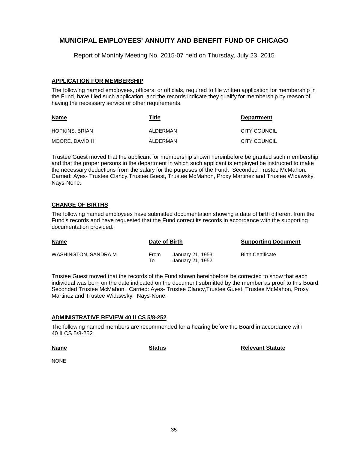Report of Monthly Meeting No. 2015-07 held on Thursday, July 23, 2015

#### **APPLICATION FOR MEMBERSHIP**

The following named employees, officers, or officials, required to file written application for membership in the Fund, have filed such application, and the records indicate they qualify for membership by reason of having the necessary service or other requirements.

| <b>Name</b>           | Title    | <b>Department</b>   |
|-----------------------|----------|---------------------|
| <b>HOPKINS, BRIAN</b> | ALDERMAN | CITY COUNCIL        |
| MOORE. DAVID H        | ALDERMAN | <b>CITY COUNCIL</b> |

Trustee Guest moved that the applicant for membership shown hereinbefore be granted such membership and that the proper persons in the department in which such applicant is employed be instructed to make the necessary deductions from the salary for the purposes of the Fund. Seconded Trustee McMahon. Carried: Ayes- Trustee Clancy,Trustee Guest, Trustee McMahon, Proxy Martinez and Trustee Widawsky. Nays-None.

### **CHANGE OF BIRTHS**

The following named employees have submitted documentation showing a date of birth different from the Fund's records and have requested that the Fund correct its records in accordance with the supporting documentation provided.

| <b>Name</b>          | Date of Birth |                                      | <b>Supporting Document</b> |
|----------------------|---------------|--------------------------------------|----------------------------|
| WASHINGTON, SANDRA M | From<br>To I  | January 21, 1953<br>January 21, 1952 | <b>Birth Certificate</b>   |

Trustee Guest moved that the records of the Fund shown hereinbefore be corrected to show that each individual was born on the date indicated on the document submitted by the member as proof to this Board. Seconded Trustee McMahon. Carried: Ayes- Trustee Clancy,Trustee Guest, Trustee McMahon, Proxy Martinez and Trustee Widawsky. Nays-None.

#### **ADMINISTRATIVE REVIEW 40 ILCS 5/8-252**

The following named members are recommended for a hearing before the Board in accordance with 40 ILCS 5/8-252.

**Name**

**Status Relevant Statute** 

NONE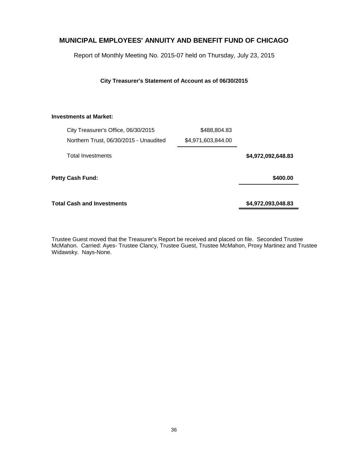Report of Monthly Meeting No. 2015-07 held on Thursday, July 23, 2015

**City Treasurer's Statement of Account as of 06/30/2015**

#### **Investments at Market:**

| City Treasurer's Office, 06/30/2015    | \$488,804.83       |                    |
|----------------------------------------|--------------------|--------------------|
| Northern Trust, 06/30/2015 - Unaudited | \$4,971,603,844.00 |                    |
| <b>Total Investments</b>               |                    | \$4,972,092,648.83 |
| Petty Cash Fund:                       |                    | \$400.00           |
| <b>Total Cash and Investments</b>      |                    | \$4,972,093,048.83 |

Trustee Guest moved that the Treasurer's Report be received and placed on file. Seconded Trustee McMahon. Carried: Ayes- Trustee Clancy, Trustee Guest, Trustee McMahon, Proxy Martinez and Trustee Widawsky. Nays-None.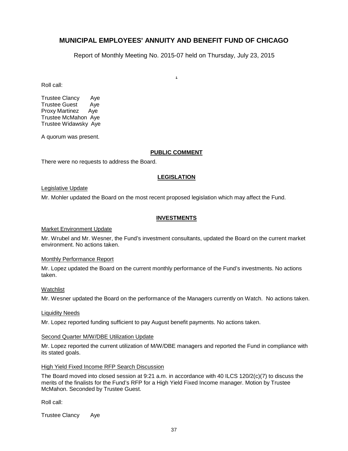Report of Monthly Meeting No. 2015-07 held on Thursday, July 23, 2015

**.**

Roll call:

Trustee Clancy Aye Trustee Guest Aye Proxy Martinez Aye Trustee McMahon Aye Trustee Widawsky Aye

A quorum was present.

#### **PUBLIC COMMENT**

There were no requests to address the Board.

#### **LEGISLATION**

#### Legislative Update

Mr. Mohler updated the Board on the most recent proposed legislation which may affect the Fund.

#### **INVESTMENTS**

#### Market Environment Update

Mr. Wrubel and Mr. Wesner, the Fund's investment consultants, updated the Board on the current market environment. No actions taken.

#### Monthly Performance Report

Mr. Lopez updated the Board on the current monthly performance of the Fund's investments. No actions taken.

#### Watchlist

Mr. Wesner updated the Board on the performance of the Managers currently on Watch. No actions taken.

#### Liquidity Needs

Mr. Lopez reported funding sufficient to pay August benefit payments. No actions taken.

#### Second Quarter M/W/DBE Utilization Update

Mr. Lopez reported the current utilization of M/W/DBE managers and reported the Fund in compliance with its stated goals.

#### High Yield Fixed Income RFP Search Discussion

The Board moved into closed session at 9:21 a.m. in accordance with 40 ILCS 120/2(c)(7) to discuss the merits of the finalists for the Fund's RFP for a High Yield Fixed Income manager. Motion by Trustee McMahon. Seconded by Trustee Guest.

Roll call:

Trustee Clancy Aye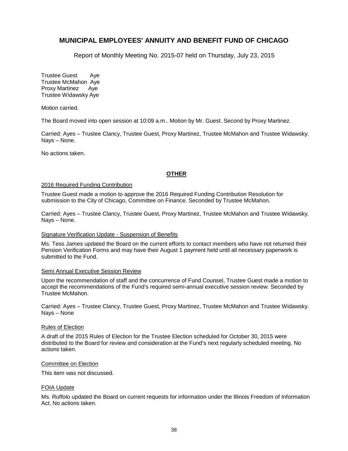Report of Monthly Meeting No. 2015-07 held on Thursday, July 23, 2015

Trustee Guest Aye Trustee McMahon Aye Proxy Martinez Aye Trustee Widawsky Aye

Motion carried.

The Board moved into open session at 10:09 a.m.. Motion by Mr. Guest. Second by Proxy Martinez.

Carried: Ayes – Trustee Clancy, Trustee Guest, Proxy Martinez, Trustee McMahon and Trustee Widawsky. Nays – None.

No actions taken.

#### **OTHER**

#### 2016 Required Funding Contribution

Trustee Guest made a motion to approve the 2016 Required Funding Contribution Resolution for submission to the City of Chicago, Committee on Finance. Seconded by Trustee McMahon.

Carried: Ayes – Trustee Clancy, Trustee Guest, Proxy Martinez, Trustee McMahon and Trustee Widawsky. Nays – None.

#### Signature Verification Update - Suspension of Benefits

Ms. Tess James updated the Board on the current efforts to contact members who have not returned their Pension Verification Forms and may have their August 1 payment held until all necessary paperwork is submitted to the Fund.

#### Semi Annual Executive Session Review

Upon the recommendation of staff and the concurrence of Fund Counsel, Trustee Guest made a motion to accept the recommendations of the Fund's required semi-annual executive session review. Seconded by Trustee McMahon.

Carried: Ayes – Trustee Clancy, Trustee Guest, Proxy Martinez, Trustee McMahon and Trustee Widawsky. Nays – None

#### Rules of Election

A draft of the 2015 Rules of Election for the Trustee Election scheduled for October 30, 2015 were distributed to the Board for review and consideration at the Fund's next regularly scheduled meeting. No actions taken.

#### Committee on Election

This item was not discussed.

#### FOIA Update

Ms. Ruffolo updated the Board on current requests for information under the Illinois Freedom of Information Act. No actions taken.